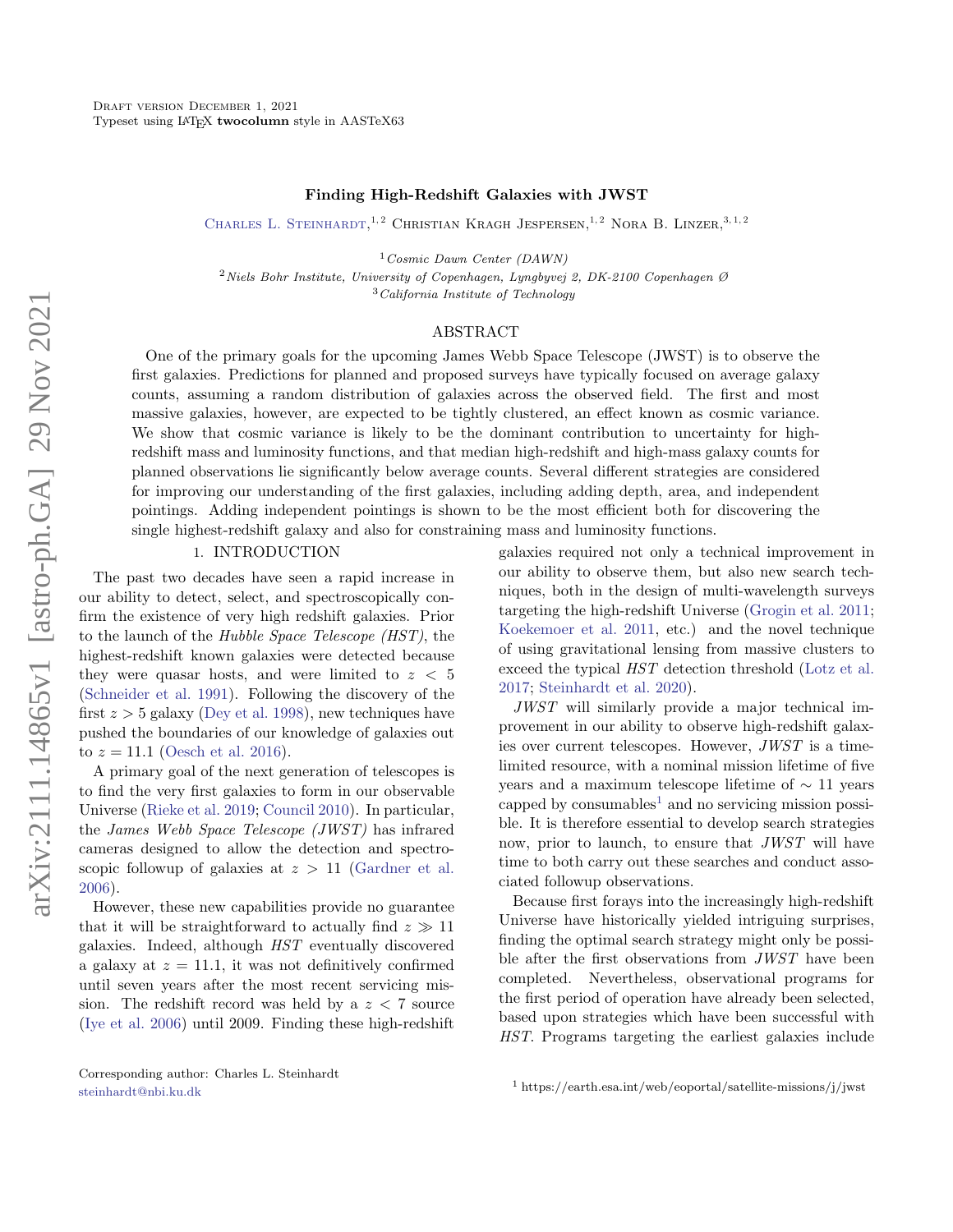## Finding High-Redshift Galaxies with JWST

[Charles L. Steinhardt,](http://orcid.org/0000-0003-3780-6801)<sup>1,2</sup> Christian Kragh Jespersen,<sup>1,2</sup> Nora B. Linzer,<sup>3,1,2</sup>

 $1$  Cosmic Dawn Center (DAWN)

 $2$ Niels Bohr Institute, University of Copenhagen, Lyngbyvej 2, DK-2100 Copenhagen Ø

<sup>3</sup>California Institute of Technology

## ABSTRACT

One of the primary goals for the upcoming James Webb Space Telescope (JWST) is to observe the first galaxies. Predictions for planned and proposed surveys have typically focused on average galaxy counts, assuming a random distribution of galaxies across the observed field. The first and most massive galaxies, however, are expected to be tightly clustered, an effect known as cosmic variance. We show that cosmic variance is likely to be the dominant contribution to uncertainty for highredshift mass and luminosity functions, and that median high-redshift and high-mass galaxy counts for planned observations lie significantly below average counts. Several different strategies are considered for improving our understanding of the first galaxies, including adding depth, area, and independent pointings. Adding independent pointings is shown to be the most efficient both for discovering the single highest-redshift galaxy and also for constraining mass and luminosity functions.

# 1. INTRODUCTION

The past two decades have seen a rapid increase in our ability to detect, select, and spectroscopically confirm the existence of very high redshift galaxies. Prior to the launch of the Hubble Space Telescope (HST), the highest-redshift known galaxies were detected because they were quasar hosts, and were limited to  $z < 5$ [\(Schneider et al.](#page-11-0) [1991\)](#page-11-0). Following the discovery of the first  $z > 5$  galaxy [\(Dey et al.](#page-11-1) [1998\)](#page-11-1), new techniques have pushed the boundaries of our knowledge of galaxies out to  $z = 11.1$  [\(Oesch et al.](#page-11-2) [2016\)](#page-11-2).

A primary goal of the next generation of telescopes is to find the very first galaxies to form in our observable Universe [\(Rieke et al.](#page-11-3) [2019;](#page-11-3) [Council](#page-11-4) [2010\)](#page-11-4). In particular, the James Webb Space Telescope (JWST) has infrared cameras designed to allow the detection and spectroscopic followup of galaxies at  $z > 11$  [\(Gardner et al.](#page-11-5) [2006\)](#page-11-5).

However, these new capabilities provide no guarantee that it will be straightforward to actually find  $z \gg 11$ galaxies. Indeed, although HST eventually discovered a galaxy at  $z = 11.1$ , it was not definitively confirmed until seven years after the most recent servicing mission. The redshift record was held by a  $z < 7$  source [\(Iye et al.](#page-11-6) [2006\)](#page-11-6) until 2009. Finding these high-redshift

galaxies required not only a technical improvement in our ability to observe them, but also new search techniques, both in the design of multi-wavelength surveys targeting the high-redshift Universe [\(Grogin et al.](#page-11-7) [2011;](#page-11-7) [Koekemoer et al.](#page-11-8) [2011,](#page-11-8) etc.) and the novel technique of using gravitational lensing from massive clusters to exceed the typical HST detection threshold [\(Lotz et al.](#page-11-9) [2017;](#page-11-9) [Steinhardt et al.](#page-11-10) [2020\)](#page-11-10).

JWST will similarly provide a major technical improvement in our ability to observe high-redshift galaxies over current telescopes. However, JWST is a timelimited resource, with a nominal mission lifetime of five years and a maximum telescope lifetime of ∼ 11 years capped by consumables<sup>[1](#page-0-0)</sup> and no servicing mission possible. It is therefore essential to develop search strategies now, prior to launch, to ensure that JWST will have time to both carry out these searches and conduct associated followup observations.

Because first forays into the increasingly high-redshift Universe have historically yielded intriguing surprises, finding the optimal search strategy might only be possible after the first observations from  $JWST$  have been completed. Nevertheless, observational programs for the first period of operation have already been selected, based upon strategies which have been successful with HST. Programs targeting the earliest galaxies include

Corresponding author: Charles L. Steinhardt [steinhardt@nbi.ku.dk](mailto: steinhardt@nbi.ku.dk)

<span id="page-0-0"></span><sup>1</sup> https://earth.esa.int/web/eoportal/satellite-missions/j/jwst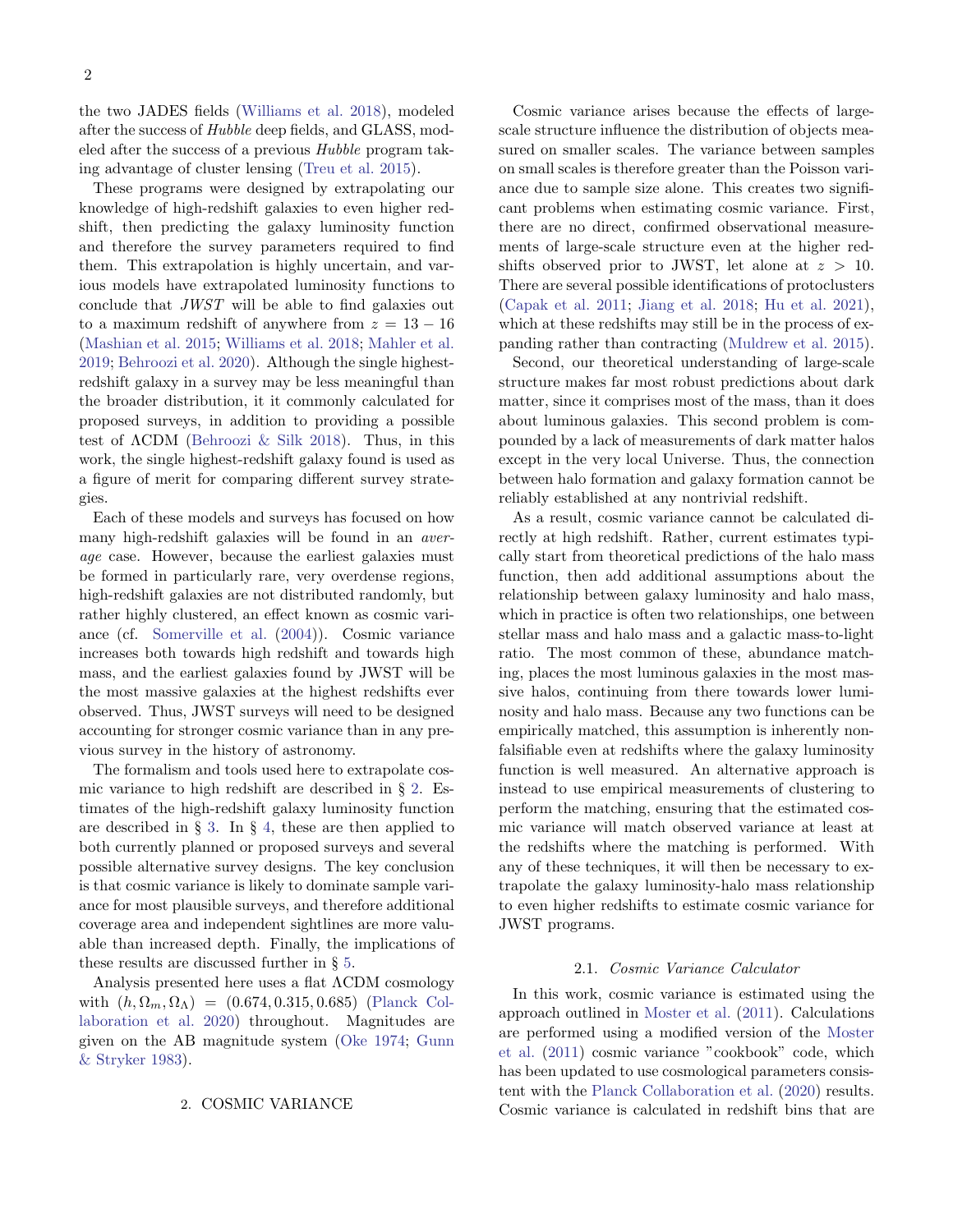the two JADES fields [\(Williams et al.](#page-11-11) [2018\)](#page-11-11), modeled after the success of Hubble deep fields, and GLASS, modeled after the success of a previous Hubble program taking advantage of cluster lensing [\(Treu et al.](#page-11-12) [2015\)](#page-11-12).

These programs were designed by extrapolating our knowledge of high-redshift galaxies to even higher redshift, then predicting the galaxy luminosity function and therefore the survey parameters required to find them. This extrapolation is highly uncertain, and various models have extrapolated luminosity functions to conclude that JWST will be able to find galaxies out to a maximum redshift of anywhere from  $z = 13 - 16$ [\(Mashian et al.](#page-11-13) [2015;](#page-11-13) [Williams et al.](#page-11-11) [2018;](#page-11-11) [Mahler et al.](#page-11-14) [2019;](#page-11-14) [Behroozi et al.](#page-10-0) [2020\)](#page-10-0). Although the single highestredshift galaxy in a survey may be less meaningful than the broader distribution, it it commonly calculated for proposed surveys, in addition to providing a possible test of ΛCDM [\(Behroozi & Silk](#page-10-1) [2018\)](#page-10-1). Thus, in this work, the single highest-redshift galaxy found is used as a figure of merit for comparing different survey strategies.

Each of these models and surveys has focused on how many high-redshift galaxies will be found in an average case. However, because the earliest galaxies must be formed in particularly rare, very overdense regions, high-redshift galaxies are not distributed randomly, but rather highly clustered, an effect known as cosmic variance (cf. [Somerville et al.](#page-11-15) [\(2004\)](#page-11-15)). Cosmic variance increases both towards high redshift and towards high mass, and the earliest galaxies found by JWST will be the most massive galaxies at the highest redshifts ever observed. Thus, JWST surveys will need to be designed accounting for stronger cosmic variance than in any previous survey in the history of astronomy.

The formalism and tools used here to extrapolate cosmic variance to high redshift are described in § [2.](#page-1-0) Estimates of the high-redshift galaxy luminosity function are described in  $\S$  [3.](#page-2-0) In  $\S$  [4,](#page-6-0) these are then applied to both currently planned or proposed surveys and several possible alternative survey designs. The key conclusion is that cosmic variance is likely to dominate sample variance for most plausible surveys, and therefore additional coverage area and independent sightlines are more valuable than increased depth. Finally, the implications of these results are discussed further in § [5.](#page-9-0)

Analysis presented here uses a flat ΛCDM cosmology with  $(h, \Omega_m, \Omega_\Lambda) = (0.674, 0.315, 0.685)$  [\(Planck Col](#page-11-16)[laboration et al.](#page-11-16) [2020\)](#page-11-16) throughout. Magnitudes are given on the AB magnitude system [\(Oke](#page-11-17) [1974;](#page-11-17) [Gunn](#page-11-18) [& Stryker](#page-11-18) [1983\)](#page-11-18).

#### <span id="page-1-0"></span>2. COSMIC VARIANCE

Cosmic variance arises because the effects of largescale structure influence the distribution of objects measured on smaller scales. The variance between samples on small scales is therefore greater than the Poisson variance due to sample size alone. This creates two significant problems when estimating cosmic variance. First, there are no direct, confirmed observational measurements of large-scale structure even at the higher redshifts observed prior to JWST, let alone at  $z > 10$ . There are several possible identifications of protoclusters [\(Capak et al.](#page-10-2) [2011;](#page-10-2) [Jiang et al.](#page-11-19) [2018;](#page-11-19) [Hu et al.](#page-11-20) [2021\)](#page-11-20), which at these redshifts may still be in the process of expanding rather than contracting [\(Muldrew et al.](#page-11-21) [2015\)](#page-11-21).

Second, our theoretical understanding of large-scale structure makes far most robust predictions about dark matter, since it comprises most of the mass, than it does about luminous galaxies. This second problem is compounded by a lack of measurements of dark matter halos except in the very local Universe. Thus, the connection between halo formation and galaxy formation cannot be reliably established at any nontrivial redshift.

As a result, cosmic variance cannot be calculated directly at high redshift. Rather, current estimates typically start from theoretical predictions of the halo mass function, then add additional assumptions about the relationship between galaxy luminosity and halo mass, which in practice is often two relationships, one between stellar mass and halo mass and a galactic mass-to-light ratio. The most common of these, abundance matching, places the most luminous galaxies in the most massive halos, continuing from there towards lower luminosity and halo mass. Because any two functions can be empirically matched, this assumption is inherently nonfalsifiable even at redshifts where the galaxy luminosity function is well measured. An alternative approach is instead to use empirical measurements of clustering to perform the matching, ensuring that the estimated cosmic variance will match observed variance at least at the redshifts where the matching is performed. With any of these techniques, it will then be necessary to extrapolate the galaxy luminosity-halo mass relationship to even higher redshifts to estimate cosmic variance for JWST programs.

#### 2.1. Cosmic Variance Calculator

In this work, cosmic variance is estimated using the approach outlined in [Moster et al.](#page-11-22) [\(2011\)](#page-11-22). Calculations are performed using a modified version of the [Moster](#page-11-22) [et al.](#page-11-22) [\(2011\)](#page-11-22) cosmic variance "cookbook" code, which has been updated to use cosmological parameters consistent with the [Planck Collaboration et al.](#page-11-16) [\(2020\)](#page-11-16) results. Cosmic variance is calculated in redshift bins that are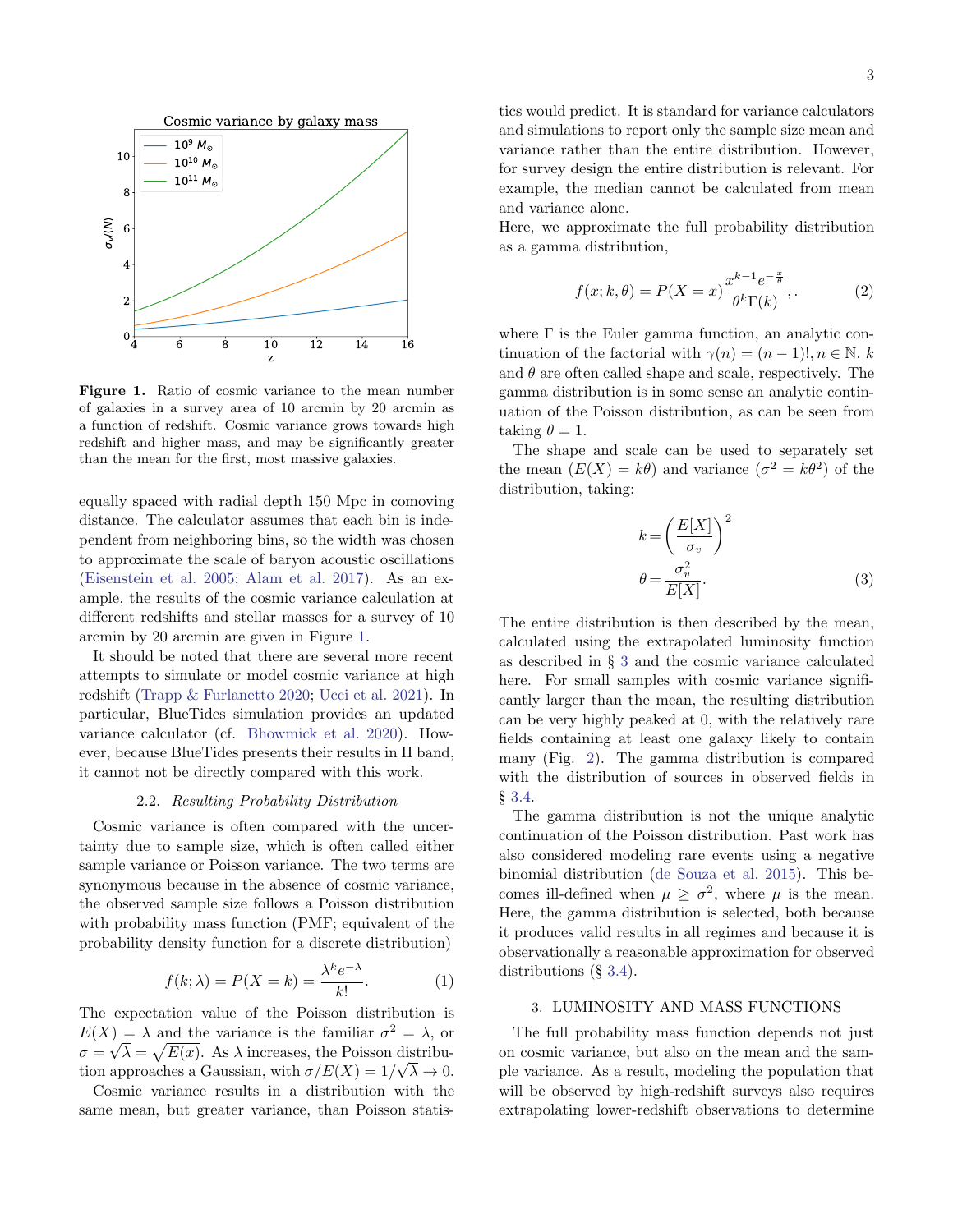

<span id="page-2-1"></span>Figure 1. Ratio of cosmic variance to the mean number of galaxies in a survey area of 10 arcmin by 20 arcmin as a function of redshift. Cosmic variance grows towards high redshift and higher mass, and may be significantly greater than the mean for the first, most massive galaxies.

equally spaced with radial depth 150 Mpc in comoving distance. The calculator assumes that each bin is independent from neighboring bins, so the width was chosen to approximate the scale of baryon acoustic oscillations [\(Eisenstein et al.](#page-11-23) [2005;](#page-11-23) [Alam et al.](#page-10-3) [2017\)](#page-10-3). As an example, the results of the cosmic variance calculation at different redshifts and stellar masses for a survey of 10 arcmin by 20 arcmin are given in Figure [1.](#page-2-1)

It should be noted that there are several more recent attempts to simulate or model cosmic variance at high redshift [\(Trapp & Furlanetto](#page-11-24) [2020;](#page-11-24) [Ucci et al.](#page-11-25) [2021\)](#page-11-25). In particular, BlueTides simulation provides an updated variance calculator (cf. [Bhowmick et al.](#page-10-4) [2020\)](#page-10-4). However, because BlueTides presents their results in H band, it cannot not be directly compared with this work.

## 2.2. Resulting Probability Distribution

Cosmic variance is often compared with the uncertainty due to sample size, which is often called either sample variance or Poisson variance. The two terms are synonymous because in the absence of cosmic variance, the observed sample size follows a Poisson distribution with probability mass function (PMF; equivalent of the probability density function for a discrete distribution)

$$
f(k; \lambda) = P(X = k) = \frac{\lambda^k e^{-\lambda}}{k!}.
$$
 (1)

The expectation value of the Poisson distribution is  $E(X) = \lambda$  and the variance is the familiar  $\sigma^2 = \lambda$ , or  $\sigma = \sqrt{\lambda} = \sqrt{E(x)}$ . As  $\lambda$  increases, the Poisson distribution approaches a Gaussian, with  $\sigma/E(X) = 1/\sqrt{\lambda} \to 0$ .

Cosmic variance results in a distribution with the same mean, but greater variance, than Poisson statistics would predict. It is standard for variance calculators and simulations to report only the sample size mean and variance rather than the entire distribution. However, for survey design the entire distribution is relevant. For example, the median cannot be calculated from mean and variance alone.

Here, we approximate the full probability distribution as a gamma distribution,

<span id="page-2-2"></span>
$$
f(x; k, \theta) = P(X = x) \frac{x^{k-1} e^{-\frac{x}{\theta}}}{\theta^k \Gamma(k)},
$$
\n(2)

where  $\Gamma$  is the Euler gamma function, an analytic continuation of the factorial with  $\gamma(n) = (n-1)!, n \in \mathbb{N}$ . k and  $\theta$  are often called shape and scale, respectively. The gamma distribution is in some sense an analytic continuation of the Poisson distribution, as can be seen from taking  $\theta = 1$ .

The shape and scale can be used to separately set the mean  $(E(X) = k\theta)$  and variance  $(\sigma^2 = k\theta^2)$  of the distribution, taking:

<span id="page-2-3"></span>
$$
k = \left(\frac{E[X]}{\sigma_v}\right)^2
$$
  

$$
\theta = \frac{\sigma_v^2}{E[X]}.
$$
 (3)

The entire distribution is then described by the mean, calculated using the extrapolated luminosity function as described in § [3](#page-2-0) and the cosmic variance calculated here. For small samples with cosmic variance significantly larger than the mean, the resulting distribution can be very highly peaked at 0, with the relatively rare fields containing at least one galaxy likely to contain many (Fig. [2\)](#page-3-0). The gamma distribution is compared with the distribution of sources in observed fields in § [3.4.](#page-5-0)

The gamma distribution is not the unique analytic continuation of the Poisson distribution. Past work has also considered modeling rare events using a negative binomial distribution [\(de Souza et al.](#page-11-26) [2015\)](#page-11-26). This becomes ill-defined when  $\mu \geq \sigma^2$ , where  $\mu$  is the mean. Here, the gamma distribution is selected, both because it produces valid results in all regimes and because it is observationally a reasonable approximation for observed distributions (§ [3.4\)](#page-5-0).

### 3. LUMINOSITY AND MASS FUNCTIONS

<span id="page-2-0"></span>The full probability mass function depends not just on cosmic variance, but also on the mean and the sample variance. As a result, modeling the population that will be observed by high-redshift surveys also requires extrapolating lower-redshift observations to determine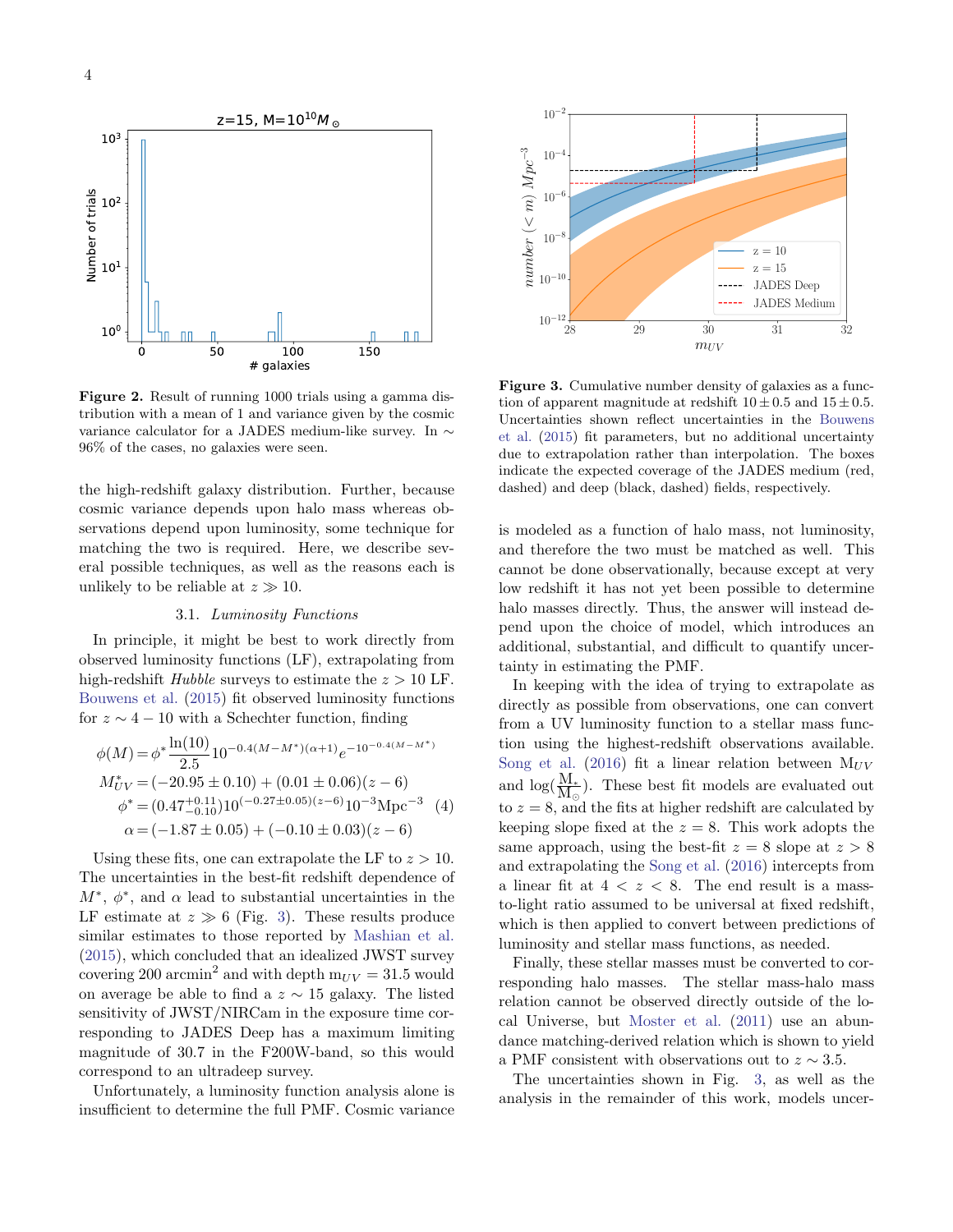

<span id="page-3-0"></span>Figure 2. Result of running 1000 trials using a gamma distribution with a mean of 1 and variance given by the cosmic variance calculator for a JADES medium-like survey. In ∼ 96% of the cases, no galaxies were seen.

the high-redshift galaxy distribution. Further, because cosmic variance depends upon halo mass whereas observations depend upon luminosity, some technique for matching the two is required. Here, we describe several possible techniques, as well as the reasons each is unlikely to be reliable at  $z \gg 10$ .

#### 3.1. Luminosity Functions

<span id="page-3-2"></span>In principle, it might be best to work directly from observed luminosity functions (LF), extrapolating from high-redshift Hubble surveys to estimate the  $z > 10$  LF. [Bouwens et al.](#page-10-5) [\(2015\)](#page-10-5) fit observed luminosity functions for  $z \sim 4 - 10$  with a Schechter function, finding

$$
\phi(M) = \phi^* \frac{\ln(10)}{2.5} 10^{-0.4(M - M^*)(\alpha + 1)} e^{-10^{-0.4(M - M^*)}}
$$
  
\n
$$
M_{UV}^* = (-20.95 \pm 0.10) + (0.01 \pm 0.06)(z - 6)
$$
  
\n
$$
\phi^* = (0.47^{+0.11}_{-0.10}) 10^{(-0.27 \pm 0.05)(z - 6)} 10^{-3} \text{Mpc}^{-3}
$$
 (4)  
\n
$$
\alpha = (-1.87 \pm 0.05) + (-0.10 \pm 0.03)(z - 6)
$$

Using these fits, one can extrapolate the LF to  $z > 10$ . The uncertainties in the best-fit redshift dependence of  $M^*, \phi^*,$  and  $\alpha$  lead to substantial uncertainties in the LF estimate at  $z \gg 6$  (Fig. [3\)](#page-3-1). These results produce similar estimates to those reported by [Mashian et al.](#page-11-13) [\(2015\)](#page-11-13), which concluded that an idealized JWST survey covering 200 arcmin<sup>2</sup> and with depth  $m_{UV} = 31.5$  would on average be able to find a  $z \sim 15$  galaxy. The listed sensitivity of JWST/NIRCam in the exposure time corresponding to JADES Deep has a maximum limiting magnitude of 30.7 in the F200W-band, so this would correspond to an ultradeep survey.

Unfortunately, a luminosity function analysis alone is insufficient to determine the full PMF. Cosmic variance



<span id="page-3-1"></span>Figure 3. Cumulative number density of galaxies as a function of apparent magnitude at redshift  $10 \pm 0.5$  and  $15 \pm 0.5$ . Uncertainties shown reflect uncertainties in the [Bouwens](#page-10-5) [et al.](#page-10-5) [\(2015\)](#page-10-5) fit parameters, but no additional uncertainty due to extrapolation rather than interpolation. The boxes indicate the expected coverage of the JADES medium (red, dashed) and deep (black, dashed) fields, respectively.

is modeled as a function of halo mass, not luminosity, and therefore the two must be matched as well. This cannot be done observationally, because except at very low redshift it has not yet been possible to determine halo masses directly. Thus, the answer will instead depend upon the choice of model, which introduces an additional, substantial, and difficult to quantify uncertainty in estimating the PMF.

In keeping with the idea of trying to extrapolate as directly as possible from observations, one can convert from a UV luminosity function to a stellar mass function using the highest-redshift observations available. [Song et al.](#page-11-27) [\(2016\)](#page-11-27) fit a linear relation between  $M_{UV}$ and  $\log(\frac{M_*}{M_\odot})$ . These best fit models are evaluated out to  $z = 8$ , and the fits at higher redshift are calculated by keeping slope fixed at the  $z = 8$ . This work adopts the same approach, using the best-fit  $z = 8$  slope at  $z > 8$ and extrapolating the [Song et al.](#page-11-27) [\(2016\)](#page-11-27) intercepts from a linear fit at  $4 < z < 8$ . The end result is a massto-light ratio assumed to be universal at fixed redshift, which is then applied to convert between predictions of luminosity and stellar mass functions, as needed.

Finally, these stellar masses must be converted to corresponding halo masses. The stellar mass-halo mass relation cannot be observed directly outside of the local Universe, but [Moster et al.](#page-11-22) [\(2011\)](#page-11-22) use an abundance matching-derived relation which is shown to yield a PMF consistent with observations out to  $z \sim 3.5$ .

The uncertainties shown in Fig. [3,](#page-3-1) as well as the analysis in the remainder of this work, models uncer-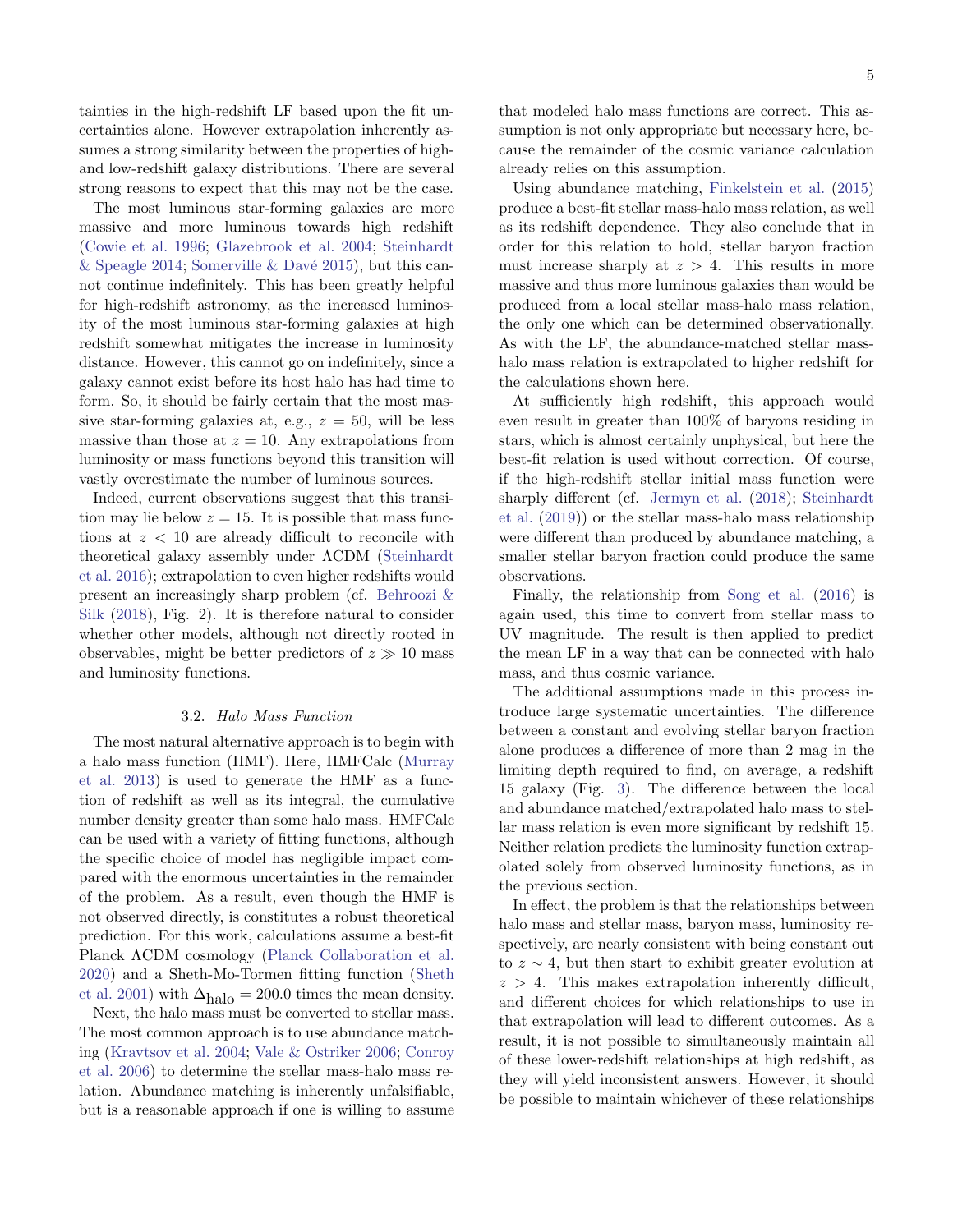tainties in the high-redshift LF based upon the fit uncertainties alone. However extrapolation inherently assumes a strong similarity between the properties of highand low-redshift galaxy distributions. There are several strong reasons to expect that this may not be the case.

The most luminous star-forming galaxies are more massive and more luminous towards high redshift [\(Cowie et al.](#page-11-28) [1996;](#page-11-28) [Glazebrook et al.](#page-11-29) [2004;](#page-11-29) [Steinhardt](#page-11-30) [& Speagle](#page-11-30) [2014;](#page-11-30) Somerville & Davé [2015\)](#page-11-31), but this cannot continue indefinitely. This has been greatly helpful for high-redshift astronomy, as the increased luminosity of the most luminous star-forming galaxies at high redshift somewhat mitigates the increase in luminosity distance. However, this cannot go on indefinitely, since a galaxy cannot exist before its host halo has had time to form. So, it should be fairly certain that the most massive star-forming galaxies at, e.g.,  $z = 50$ , will be less massive than those at  $z = 10$ . Any extrapolations from luminosity or mass functions beyond this transition will vastly overestimate the number of luminous sources.

Indeed, current observations suggest that this transition may lie below  $z = 15$ . It is possible that mass functions at  $z < 10$  are already difficult to reconcile with theoretical galaxy assembly under ΛCDM [\(Steinhardt](#page-11-32) [et al.](#page-11-32) [2016\)](#page-11-32); extrapolation to even higher redshifts would present an increasingly sharp problem (cf. [Behroozi &](#page-10-1) [Silk](#page-10-1) [\(2018\)](#page-10-1), Fig. 2). It is therefore natural to consider whether other models, although not directly rooted in observables, might be better predictors of  $z \gg 10$  mass and luminosity functions.

### 3.2. Halo Mass Function

The most natural alternative approach is to begin with a halo mass function (HMF). Here, HMFCalc [\(Murray](#page-11-33) [et al.](#page-11-33) [2013\)](#page-11-33) is used to generate the HMF as a function of redshift as well as its integral, the cumulative number density greater than some halo mass. HMFCalc can be used with a variety of fitting functions, although the specific choice of model has negligible impact compared with the enormous uncertainties in the remainder of the problem. As a result, even though the HMF is not observed directly, is constitutes a robust theoretical prediction. For this work, calculations assume a best-fit Planck ΛCDM cosmology [\(Planck Collaboration et al.](#page-11-16) [2020\)](#page-11-16) and a Sheth-Mo-Tormen fitting function [\(Sheth](#page-11-34) [et al.](#page-11-34) [2001\)](#page-11-34) with  $\Delta_{\rm halo} = 200.0$  times the mean density.

Next, the halo mass must be converted to stellar mass. The most common approach is to use abundance matching [\(Kravtsov et al.](#page-11-35) [2004;](#page-11-35) [Vale & Ostriker](#page-11-36) [2006;](#page-11-36) [Conroy](#page-11-37) [et al.](#page-11-37) [2006\)](#page-11-37) to determine the stellar mass-halo mass relation. Abundance matching is inherently unfalsifiable, but is a reasonable approach if one is willing to assume that modeled halo mass functions are correct. This assumption is not only appropriate but necessary here, because the remainder of the cosmic variance calculation already relies on this assumption.

Using abundance matching, [Finkelstein et al.](#page-11-38) [\(2015\)](#page-11-38) produce a best-fit stellar mass-halo mass relation, as well as its redshift dependence. They also conclude that in order for this relation to hold, stellar baryon fraction must increase sharply at  $z > 4$ . This results in more massive and thus more luminous galaxies than would be produced from a local stellar mass-halo mass relation, the only one which can be determined observationally. As with the LF, the abundance-matched stellar masshalo mass relation is extrapolated to higher redshift for the calculations shown here.

At sufficiently high redshift, this approach would even result in greater than 100% of baryons residing in stars, which is almost certainly unphysical, but here the best-fit relation is used without correction. Of course, if the high-redshift stellar initial mass function were sharply different (cf. [Jermyn et al.](#page-11-39) [\(2018\)](#page-11-39); [Steinhardt](#page-11-40) [et al.](#page-11-40) [\(2019\)](#page-11-40)) or the stellar mass-halo mass relationship were different than produced by abundance matching, a smaller stellar baryon fraction could produce the same observations.

Finally, the relationship from [Song et al.](#page-11-27) [\(2016\)](#page-11-27) is again used, this time to convert from stellar mass to UV magnitude. The result is then applied to predict the mean LF in a way that can be connected with halo mass, and thus cosmic variance.

The additional assumptions made in this process introduce large systematic uncertainties. The difference between a constant and evolving stellar baryon fraction alone produces a difference of more than 2 mag in the limiting depth required to find, on average, a redshift 15 galaxy (Fig. [3\)](#page-3-1). The difference between the local and abundance matched/extrapolated halo mass to stellar mass relation is even more significant by redshift 15. Neither relation predicts the luminosity function extrapolated solely from observed luminosity functions, as in the previous section.

In effect, the problem is that the relationships between halo mass and stellar mass, baryon mass, luminosity respectively, are nearly consistent with being constant out to  $z \sim 4$ , but then start to exhibit greater evolution at  $z > 4$ . This makes extrapolation inherently difficult, and different choices for which relationships to use in that extrapolation will lead to different outcomes. As a result, it is not possible to simultaneously maintain all of these lower-redshift relationships at high redshift, as they will yield inconsistent answers. However, it should be possible to maintain whichever of these relationships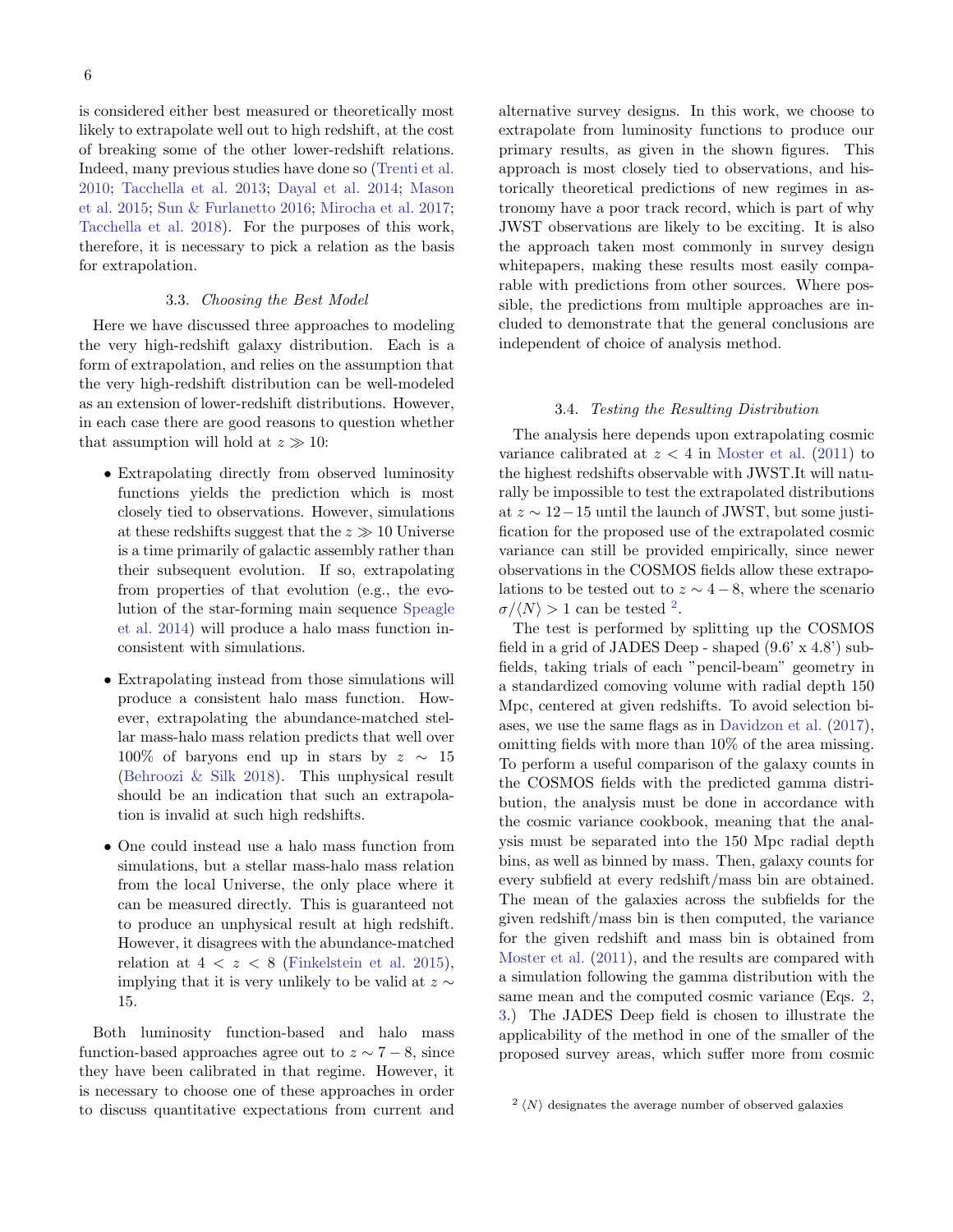is considered either best measured or theoretically most likely to extrapolate well out to high redshift, at the cost of breaking some of the other lower-redshift relations. Indeed, many previous studies have done so [\(Trenti et al.](#page-11-41) [2010;](#page-11-41) [Tacchella et al.](#page-11-42) [2013;](#page-11-42) [Dayal et al.](#page-11-43) [2014;](#page-11-43) [Mason](#page-11-44) [et al.](#page-11-44) [2015;](#page-11-44) [Sun & Furlanetto](#page-11-45) [2016;](#page-11-45) [Mirocha et al.](#page-11-46) [2017;](#page-11-46) [Tacchella et al.](#page-11-47) [2018\)](#page-11-47). For the purposes of this work, therefore, it is necessary to pick a relation as the basis for extrapolation.

### 3.3. Choosing the Best Model

Here we have discussed three approaches to modeling the very high-redshift galaxy distribution. Each is a form of extrapolation, and relies on the assumption that the very high-redshift distribution can be well-modeled as an extension of lower-redshift distributions. However, in each case there are good reasons to question whether that assumption will hold at  $z \gg 10$ :

- Extrapolating directly from observed luminosity functions yields the prediction which is most closely tied to observations. However, simulations at these redshifts suggest that the  $z \gg 10$  Universe is a time primarily of galactic assembly rather than their subsequent evolution. If so, extrapolating from properties of that evolution (e.g., the evolution of the star-forming main sequence [Speagle](#page-11-48) [et al.](#page-11-48) [2014\)](#page-11-48) will produce a halo mass function inconsistent with simulations.
- Extrapolating instead from those simulations will produce a consistent halo mass function. However, extrapolating the abundance-matched stellar mass-halo mass relation predicts that well over 100% of baryons end up in stars by  $z \sim 15$ [\(Behroozi & Silk](#page-10-1) [2018\)](#page-10-1). This unphysical result should be an indication that such an extrapolation is invalid at such high redshifts.
- One could instead use a halo mass function from simulations, but a stellar mass-halo mass relation from the local Universe, the only place where it can be measured directly. This is guaranteed not to produce an unphysical result at high redshift. However, it disagrees with the abundance-matched relation at  $4 < z < 8$  [\(Finkelstein et al.](#page-11-38) [2015\)](#page-11-38), implying that it is very unlikely to be valid at  $z \sim$ 15.

Both luminosity function-based and halo mass function-based approaches agree out to  $z \sim 7-8$ , since they have been calibrated in that regime. However, it is necessary to choose one of these approaches in order to discuss quantitative expectations from current and

alternative survey designs. In this work, we choose to extrapolate from luminosity functions to produce our primary results, as given in the shown figures. This approach is most closely tied to observations, and historically theoretical predictions of new regimes in astronomy have a poor track record, which is part of why JWST observations are likely to be exciting. It is also the approach taken most commonly in survey design whitepapers, making these results most easily comparable with predictions from other sources. Where possible, the predictions from multiple approaches are included to demonstrate that the general conclusions are independent of choice of analysis method.

#### 3.4. Testing the Resulting Distribution

<span id="page-5-0"></span>The analysis here depends upon extrapolating cosmic variance calibrated at  $z < 4$  in [Moster et al.](#page-11-22) [\(2011\)](#page-11-22) to the highest redshifts observable with JWST.It will naturally be impossible to test the extrapolated distributions at  $z \sim 12-15$  until the launch of JWST, but some justification for the proposed use of the extrapolated cosmic variance can still be provided empirically, since newer observations in the COSMOS fields allow these extrapolations to be tested out to  $z \sim 4-8$ , where the scenario  $\sigma/\langle N \rangle > 1$  can be tested <sup>[2](#page-5-1)</sup>.

The test is performed by splitting up the COSMOS field in a grid of JADES Deep - shaped (9.6' x 4.8') subfields, taking trials of each "pencil-beam" geometry in a standardized comoving volume with radial depth 150 Mpc, centered at given redshifts. To avoid selection biases, we use the same flags as in [Davidzon et al.](#page-11-49) [\(2017\)](#page-11-49), omitting fields with more than 10% of the area missing. To perform a useful comparison of the galaxy counts in the COSMOS fields with the predicted gamma distribution, the analysis must be done in accordance with the cosmic variance cookbook, meaning that the analysis must be separated into the 150 Mpc radial depth bins, as well as binned by mass. Then, galaxy counts for every subfield at every redshift/mass bin are obtained. The mean of the galaxies across the subfields for the given redshift/mass bin is then computed, the variance for the given redshift and mass bin is obtained from [Moster et al.](#page-11-22) [\(2011\)](#page-11-22), and the results are compared with a simulation following the gamma distribution with the same mean and the computed cosmic variance (Eqs. [2,](#page-2-2) [3.](#page-2-3)) The JADES Deep field is chosen to illustrate the applicability of the method in one of the smaller of the proposed survey areas, which suffer more from cosmic

<span id="page-5-1"></span> $^{2}$   $\langle N \rangle$  designates the average number of observed galaxies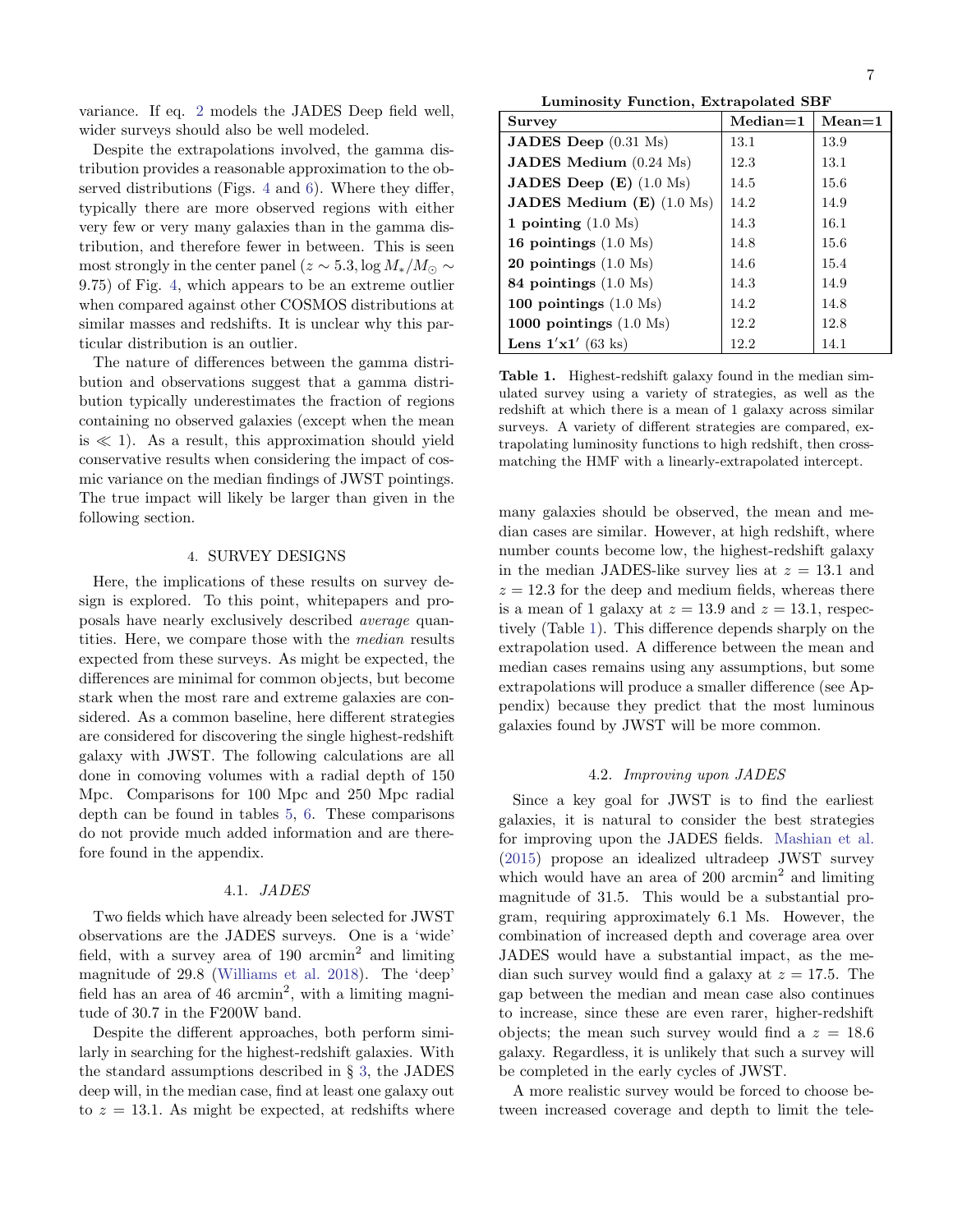variance. If eq. [2](#page-2-2) models the JADES Deep field well, wider surveys should also be well modeled.

Despite the extrapolations involved, the gamma distribution provides a reasonable approximation to the observed distributions (Figs. [4](#page-7-0) and [6\)](#page-15-0). Where they differ, typically there are more observed regions with either very few or very many galaxies than in the gamma distribution, and therefore fewer in between. This is seen most strongly in the center panel ( $z \sim 5.3$ , log  $M_*/M_\odot \sim$ 9.75) of Fig. [4,](#page-7-0) which appears to be an extreme outlier when compared against other COSMOS distributions at similar masses and redshifts. It is unclear why this particular distribution is an outlier.

The nature of differences between the gamma distribution and observations suggest that a gamma distribution typically underestimates the fraction of regions containing no observed galaxies (except when the mean is  $\ll$  1). As a result, this approximation should yield conservative results when considering the impact of cosmic variance on the median findings of JWST pointings. The true impact will likely be larger than given in the following section.

## 4. SURVEY DESIGNS

<span id="page-6-0"></span>Here, the implications of these results on survey design is explored. To this point, whitepapers and proposals have nearly exclusively described average quantities. Here, we compare those with the median results expected from these surveys. As might be expected, the differences are minimal for common objects, but become stark when the most rare and extreme galaxies are considered. As a common baseline, here different strategies are considered for discovering the single highest-redshift galaxy with JWST. The following calculations are all done in comoving volumes with a radial depth of 150 Mpc. Comparisons for 100 Mpc and 250 Mpc radial depth can be found in tables [5,](#page-13-0) [6.](#page-13-1) These comparisons do not provide much added information and are therefore found in the appendix.

### 4.1. JADES

Two fields which have already been selected for JWST observations are the JADES surveys. One is a 'wide' field, with a survey area of  $190$  arcmin<sup>2</sup> and limiting magnitude of 29.8 [\(Williams et al.](#page-11-11) [2018\)](#page-11-11). The 'deep' field has an area of 46  $\mathrm{arcmin}^2$ , with a limiting magnitude of 30.7 in the F200W band.

Despite the different approaches, both perform similarly in searching for the highest-redshift galaxies. With the standard assumptions described in § [3,](#page-2-0) the JADES deep will, in the median case, find at least one galaxy out to  $z = 13.1$ . As might be expected, at redshifts where

Luminosity Function, Extrapolated SBF

| <b>Survey</b>                              | $Median=1$ | $Mean=1$ |
|--------------------------------------------|------------|----------|
| <b>JADES Deep</b> $(0.31 \text{ Ms})$      | 13.1       | 13.9     |
| <b>JADES Medium</b> $(0.24 \text{ Ms})$    | 12.3       | 13.1     |
| <b>JADES Deep (E)</b> $(1.0 \text{ Ms})$   | 14.5       | 15.6     |
| <b>JADES Medium (E)</b> $(1.0 \text{ Ms})$ | 14.2       | 14.9     |
| 1 pointing $(1.0 \text{ Ms})$              | 14.3       | 16.1     |
| 16 pointings $(1.0 \text{ Ms})$            | 14.8       | 15.6     |
| 20 pointings $(1.0 \text{ Ms})$            | 14.6       | 15.4     |
| 84 pointings $(1.0 \text{ Ms})$            | 14.3       | 14.9     |
| 100 pointings $(1.0 \text{ Ms})$           | 14.2       | 14.8     |
| 1000 pointings $(1.0 \text{ Ms})$          | 12.2       | 12.8     |
| Lens $1'x1'$ (63 ks)                       | 12.2       | 14.1     |

<span id="page-6-1"></span>Table 1. Highest-redshift galaxy found in the median simulated survey using a variety of strategies, as well as the redshift at which there is a mean of 1 galaxy across similar surveys. A variety of different strategies are compared, extrapolating luminosity functions to high redshift, then crossmatching the HMF with a linearly-extrapolated intercept.

many galaxies should be observed, the mean and median cases are similar. However, at high redshift, where number counts become low, the highest-redshift galaxy in the median JADES-like survey lies at  $z = 13.1$  and  $z = 12.3$  for the deep and medium fields, whereas there is a mean of 1 galaxy at  $z = 13.9$  and  $z = 13.1$ , respectively (Table [1\)](#page-6-1). This difference depends sharply on the extrapolation used. A difference between the mean and median cases remains using any assumptions, but some extrapolations will produce a smaller difference (see Appendix) because they predict that the most luminous galaxies found by JWST will be more common.

#### 4.2. Improving upon JADES

Since a key goal for JWST is to find the earliest galaxies, it is natural to consider the best strategies for improving upon the JADES fields. [Mashian et al.](#page-11-13) [\(2015\)](#page-11-13) propose an idealized ultradeep JWST survey which would have an area of  $200$  arcmin<sup>2</sup> and limiting magnitude of 31.5. This would be a substantial program, requiring approximately 6.1 Ms. However, the combination of increased depth and coverage area over JADES would have a substantial impact, as the median such survey would find a galaxy at  $z = 17.5$ . The gap between the median and mean case also continues to increase, since these are even rarer, higher-redshift objects; the mean such survey would find a  $z = 18.6$ galaxy. Regardless, it is unlikely that such a survey will be completed in the early cycles of JWST.

A more realistic survey would be forced to choose between increased coverage and depth to limit the tele-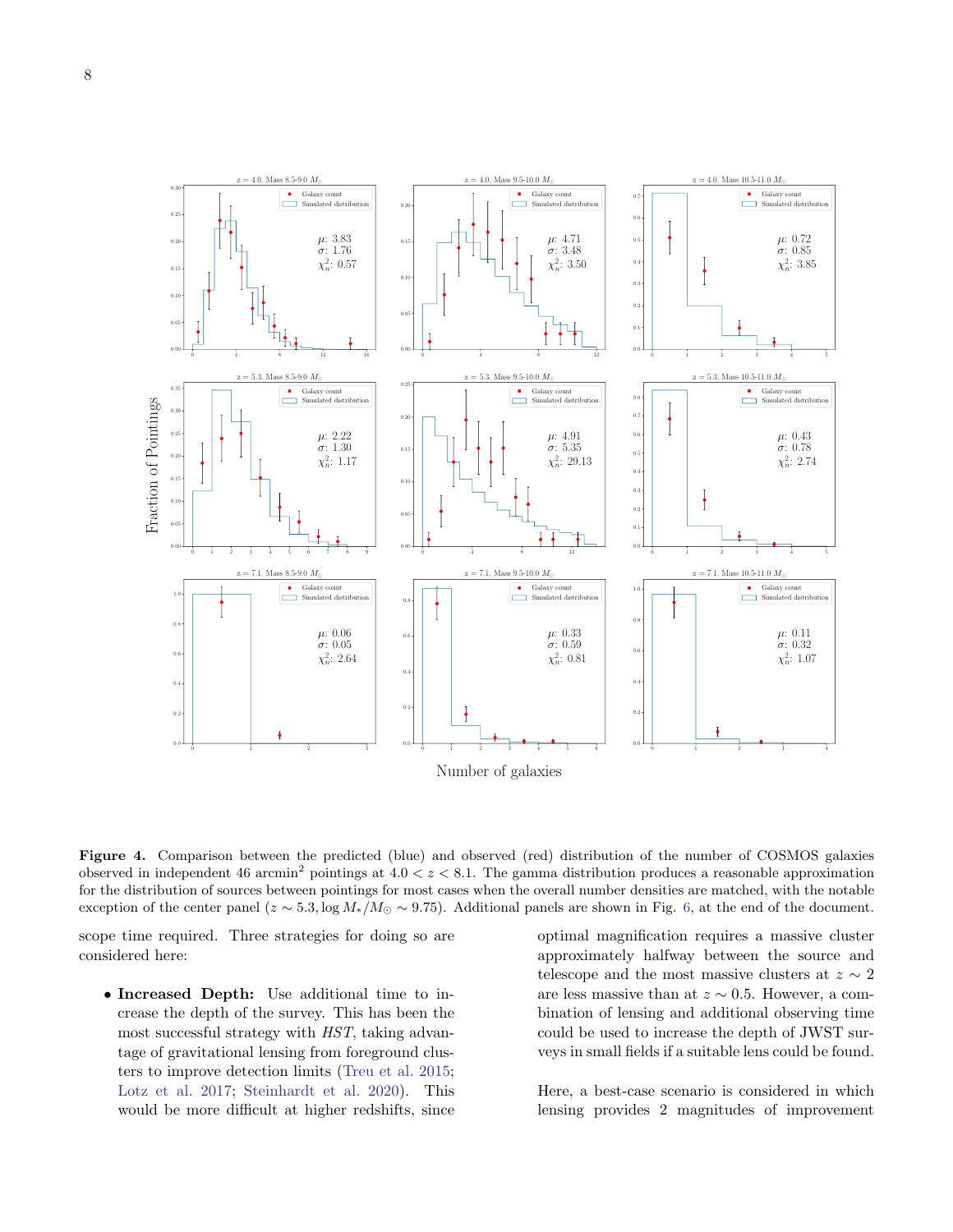

<span id="page-7-0"></span>Figure 4. Comparison between the predicted (blue) and observed (red) distribution of the number of COSMOS galaxies observed in independent 46 arcmin<sup>2</sup> pointings at  $4.0 < z < 8.1$ . The gamma distribution produces a reasonable approximation for the distribution of sources between pointings for most cases when the overall number densities are matched, with the notable exception of the center panel ( $z \sim 5.3$ , log  $M_*/M_{\odot} \sim 9.75$ ). Additional panels are shown in Fig. [6,](#page-15-0) at the end of the document.

scope time required. Three strategies for doing so are considered here:

• Increased Depth: Use additional time to increase the depth of the survey. This has been the most successful strategy with HST, taking advantage of gravitational lensing from foreground clusters to improve detection limits [\(Treu et al.](#page-11-12) [2015;](#page-11-12) [Lotz et al.](#page-11-9) [2017;](#page-11-9) [Steinhardt et al.](#page-11-10) [2020\)](#page-11-10). This would be more difficult at higher redshifts, since

optimal magnification requires a massive cluster approximately halfway between the source and telescope and the most massive clusters at  $z \sim 2$ are less massive than at  $z \sim 0.5$ . However, a combination of lensing and additional observing time could be used to increase the depth of JWST surveys in small fields if a suitable lens could be found.

Here, a best-case scenario is considered in which lensing provides 2 magnitudes of improvement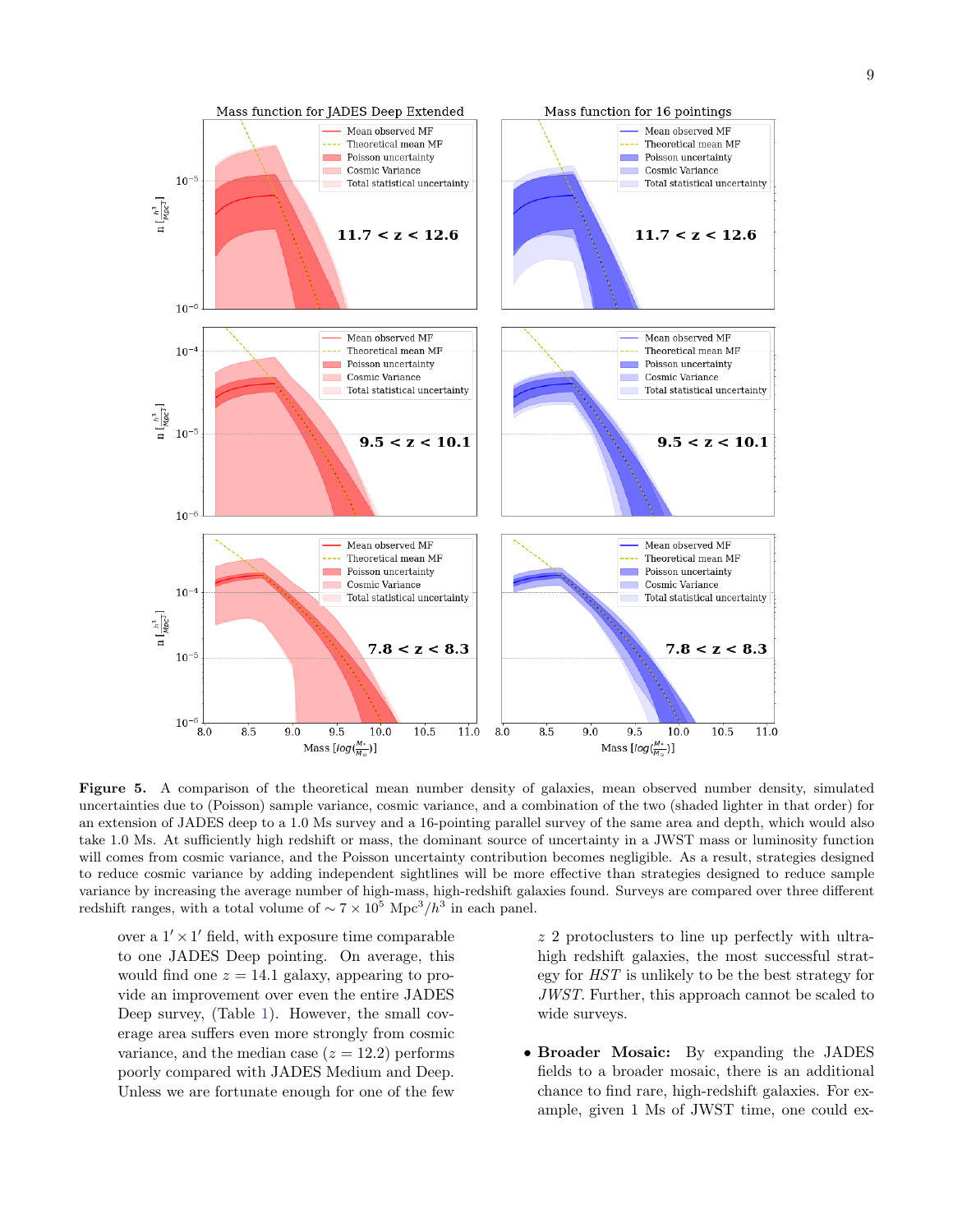

<span id="page-8-0"></span>Figure 5. A comparison of the theoretical mean number density of galaxies, mean observed number density, simulated uncertainties due to (Poisson) sample variance, cosmic variance, and a combination of the two (shaded lighter in that order) for an extension of JADES deep to a 1.0 Ms survey and a 16-pointing parallel survey of the same area and depth, which would also take 1.0 Ms. At sufficiently high redshift or mass, the dominant source of uncertainty in a JWST mass or luminosity function will comes from cosmic variance, and the Poisson uncertainty contribution becomes negligible. As a result, strategies designed to reduce cosmic variance by adding independent sightlines will be more effective than strategies designed to reduce sample variance by increasing the average number of high-mass, high-redshift galaxies found. Surveys are compared over three different redshift ranges, with a total volume of  $\sim 7 \times 10^5$  Mpc<sup>3</sup>/h<sup>3</sup> in each panel.

over a  $1^{\prime}\times1^{\prime}$  field, with exposure time comparable to one JADES Deep pointing. On average, this would find one  $z = 14.1$  galaxy, appearing to provide an improvement over even the entire JADES Deep survey, (Table [1\)](#page-6-1). However, the small coverage area suffers even more strongly from cosmic variance, and the median case  $(z = 12.2)$  performs poorly compared with JADES Medium and Deep. Unless we are fortunate enough for one of the few

- z 2 protoclusters to line up perfectly with ultrahigh redshift galaxies, the most successful strategy for HST is unlikely to be the best strategy for JWST. Further, this approach cannot be scaled to wide surveys.
- Broader Mosaic: By expanding the JADES fields to a broader mosaic, there is an additional chance to find rare, high-redshift galaxies. For example, given 1 Ms of JWST time, one could ex-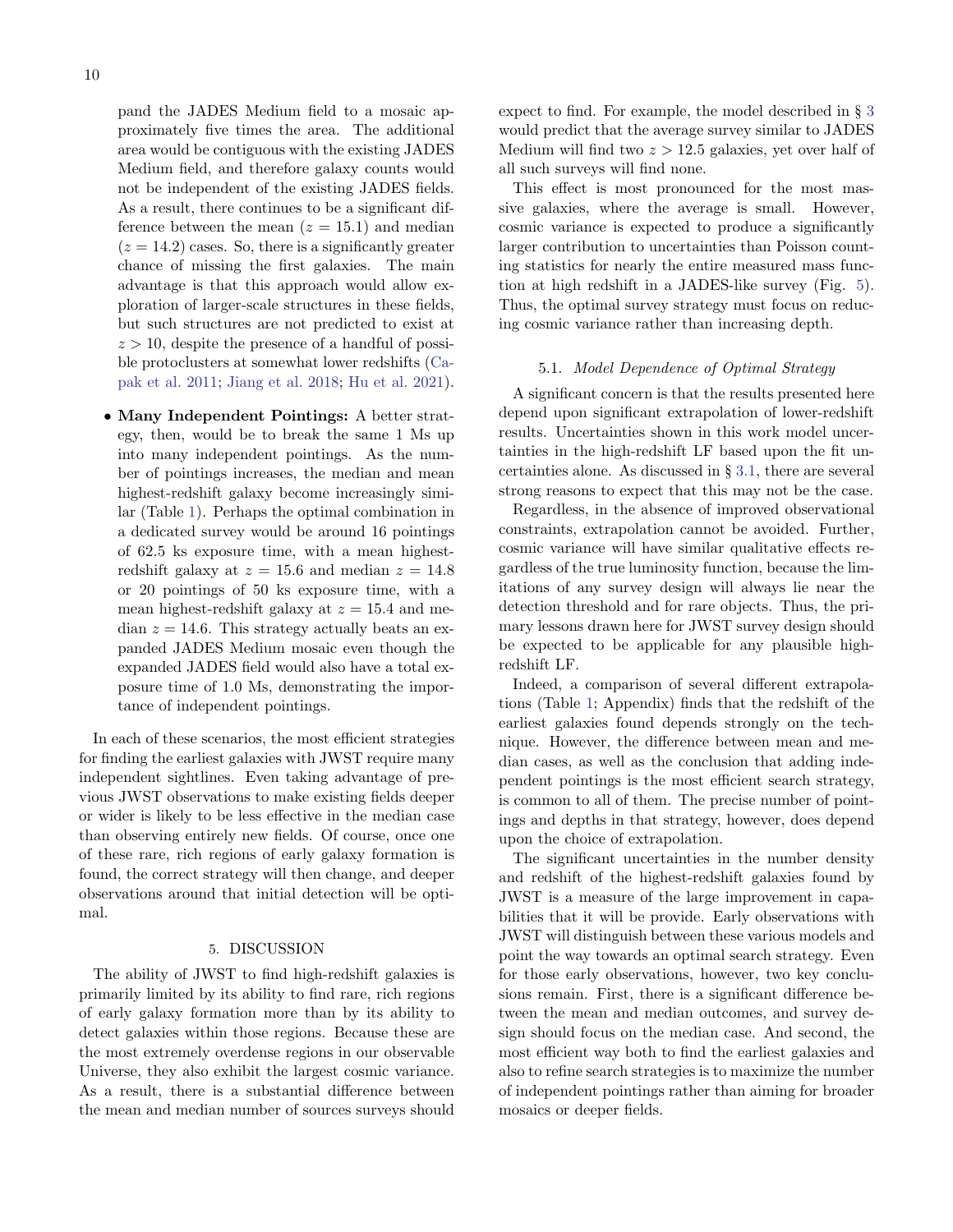pand the JADES Medium field to a mosaic approximately five times the area. The additional area would be contiguous with the existing JADES Medium field, and therefore galaxy counts would not be independent of the existing JADES fields. As a result, there continues to be a significant difference between the mean  $(z = 15.1)$  and median  $(z = 14.2)$  cases. So, there is a significantly greater chance of missing the first galaxies. The main advantage is that this approach would allow exploration of larger-scale structures in these fields, but such structures are not predicted to exist at  $z > 10$ , despite the presence of a handful of possible protoclusters at somewhat lower redshifts [\(Ca](#page-10-2)[pak et al.](#page-10-2) [2011;](#page-10-2) [Jiang et al.](#page-11-19) [2018;](#page-11-19) [Hu et al.](#page-11-20) [2021\)](#page-11-20).

• Many Independent Pointings: A better strategy, then, would be to break the same 1 Ms up into many independent pointings. As the number of pointings increases, the median and mean highest-redshift galaxy become increasingly similar (Table [1\)](#page-6-1). Perhaps the optimal combination in a dedicated survey would be around 16 pointings of 62.5 ks exposure time, with a mean highestredshift galaxy at  $z = 15.6$  and median  $z = 14.8$ or 20 pointings of 50 ks exposure time, with a mean highest-redshift galaxy at  $z = 15.4$  and median  $z = 14.6$ . This strategy actually beats an expanded JADES Medium mosaic even though the expanded JADES field would also have a total exposure time of 1.0 Ms, demonstrating the importance of independent pointings.

In each of these scenarios, the most efficient strategies for finding the earliest galaxies with JWST require many independent sightlines. Even taking advantage of previous JWST observations to make existing fields deeper or wider is likely to be less effective in the median case than observing entirely new fields. Of course, once one of these rare, rich regions of early galaxy formation is found, the correct strategy will then change, and deeper observations around that initial detection will be optimal.

## 5. DISCUSSION

<span id="page-9-0"></span>The ability of JWST to find high-redshift galaxies is primarily limited by its ability to find rare, rich regions of early galaxy formation more than by its ability to detect galaxies within those regions. Because these are the most extremely overdense regions in our observable Universe, they also exhibit the largest cosmic variance. As a result, there is a substantial difference between the mean and median number of sources surveys should expect to find. For example, the model described in § [3](#page-2-0) would predict that the average survey similar to JADES Medium will find two  $z > 12.5$  galaxies, yet over half of all such surveys will find none.

This effect is most pronounced for the most massive galaxies, where the average is small. However, cosmic variance is expected to produce a significantly larger contribution to uncertainties than Poisson counting statistics for nearly the entire measured mass function at high redshift in a JADES-like survey (Fig. [5\)](#page-8-0). Thus, the optimal survey strategy must focus on reducing cosmic variance rather than increasing depth.

#### 5.1. Model Dependence of Optimal Strategy

A significant concern is that the results presented here depend upon significant extrapolation of lower-redshift results. Uncertainties shown in this work model uncertainties in the high-redshift LF based upon the fit uncertainties alone. As discussed in § [3.1,](#page-3-2) there are several strong reasons to expect that this may not be the case.

Regardless, in the absence of improved observational constraints, extrapolation cannot be avoided. Further, cosmic variance will have similar qualitative effects regardless of the true luminosity function, because the limitations of any survey design will always lie near the detection threshold and for rare objects. Thus, the primary lessons drawn here for JWST survey design should be expected to be applicable for any plausible highredshift LF.

Indeed, a comparison of several different extrapolations (Table [1;](#page-6-1) Appendix) finds that the redshift of the earliest galaxies found depends strongly on the technique. However, the difference between mean and median cases, as well as the conclusion that adding independent pointings is the most efficient search strategy, is common to all of them. The precise number of pointings and depths in that strategy, however, does depend upon the choice of extrapolation.

The significant uncertainties in the number density and redshift of the highest-redshift galaxies found by JWST is a measure of the large improvement in capabilities that it will be provide. Early observations with JWST will distinguish between these various models and point the way towards an optimal search strategy. Even for those early observations, however, two key conclusions remain. First, there is a significant difference between the mean and median outcomes, and survey design should focus on the median case. And second, the most efficient way both to find the earliest galaxies and also to refine search strategies is to maximize the number of independent pointings rather than aiming for broader mosaics or deeper fields.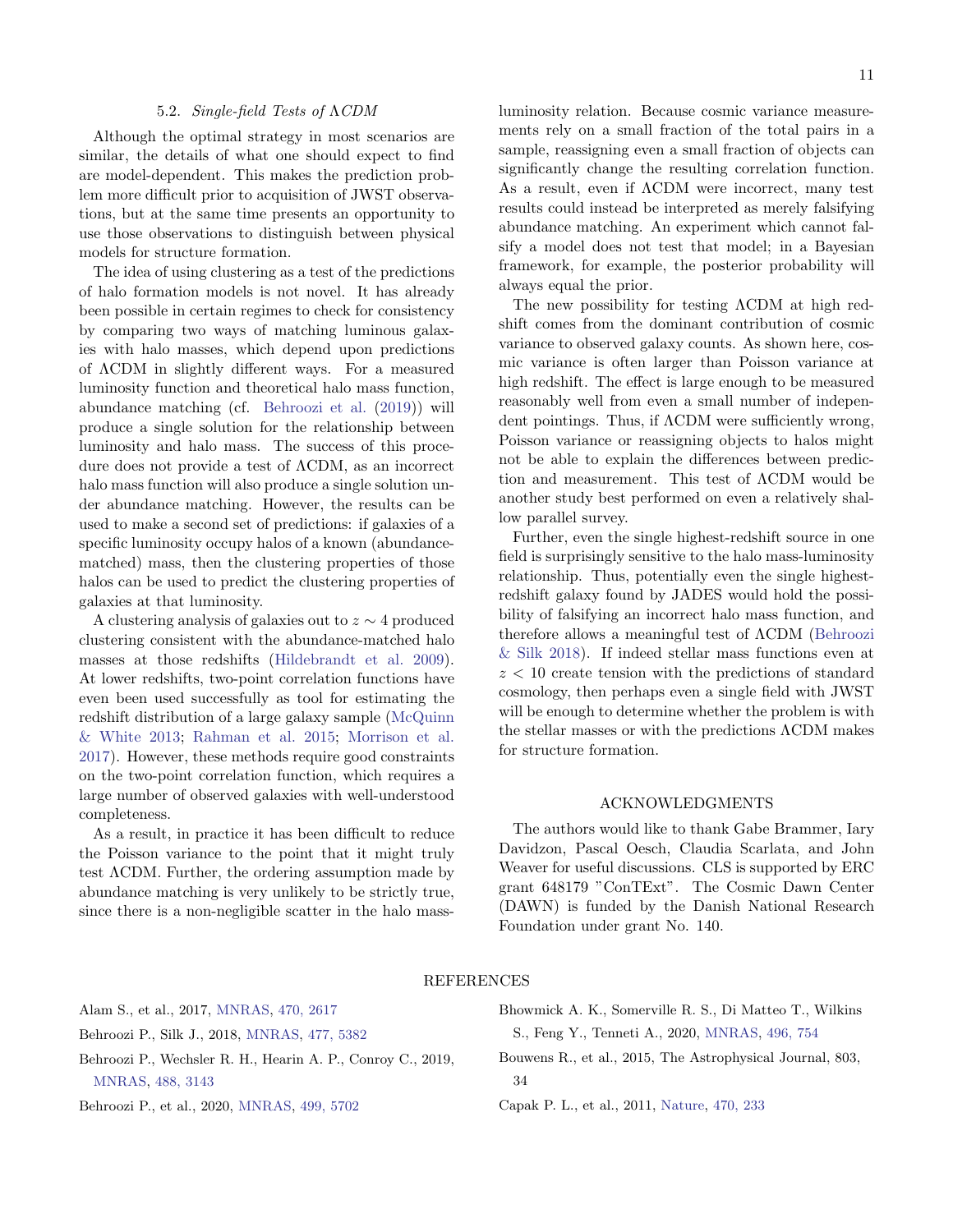### 5.2. Single-field Tests of ΛCDM

Although the optimal strategy in most scenarios are similar, the details of what one should expect to find are model-dependent. This makes the prediction problem more difficult prior to acquisition of JWST observations, but at the same time presents an opportunity to use those observations to distinguish between physical models for structure formation.

The idea of using clustering as a test of the predictions of halo formation models is not novel. It has already been possible in certain regimes to check for consistency by comparing two ways of matching luminous galaxies with halo masses, which depend upon predictions of ΛCDM in slightly different ways. For a measured luminosity function and theoretical halo mass function, abundance matching (cf. [Behroozi et al.](#page-10-6) [\(2019\)](#page-10-6)) will produce a single solution for the relationship between luminosity and halo mass. The success of this procedure does not provide a test of ΛCDM, as an incorrect halo mass function will also produce a single solution under abundance matching. However, the results can be used to make a second set of predictions: if galaxies of a specific luminosity occupy halos of a known (abundancematched) mass, then the clustering properties of those halos can be used to predict the clustering properties of galaxies at that luminosity.

A clustering analysis of galaxies out to  $z \sim 4$  produced clustering consistent with the abundance-matched halo masses at those redshifts [\(Hildebrandt et al.](#page-11-50) [2009\)](#page-11-50). At lower redshifts, two-point correlation functions have even been used successfully as tool for estimating the redshift distribution of a large galaxy sample [\(McQuinn](#page-11-51) [& White](#page-11-51) [2013;](#page-11-51) [Rahman et al.](#page-11-52) [2015;](#page-11-52) [Morrison et al.](#page-11-53) [2017\)](#page-11-53). However, these methods require good constraints on the two-point correlation function, which requires a large number of observed galaxies with well-understood completeness.

As a result, in practice it has been difficult to reduce the Poisson variance to the point that it might truly test ΛCDM. Further, the ordering assumption made by abundance matching is very unlikely to be strictly true, since there is a non-negligible scatter in the halo massluminosity relation. Because cosmic variance measurements rely on a small fraction of the total pairs in a sample, reassigning even a small fraction of objects can significantly change the resulting correlation function. As a result, even if ΛCDM were incorrect, many test results could instead be interpreted as merely falsifying abundance matching. An experiment which cannot falsify a model does not test that model; in a Bayesian framework, for example, the posterior probability will always equal the prior.

The new possibility for testing ΛCDM at high redshift comes from the dominant contribution of cosmic variance to observed galaxy counts. As shown here, cosmic variance is often larger than Poisson variance at high redshift. The effect is large enough to be measured reasonably well from even a small number of independent pointings. Thus, if ΛCDM were sufficiently wrong, Poisson variance or reassigning objects to halos might not be able to explain the differences between prediction and measurement. This test of ΛCDM would be another study best performed on even a relatively shallow parallel survey.

Further, even the single highest-redshift source in one field is surprisingly sensitive to the halo mass-luminosity relationship. Thus, potentially even the single highestredshift galaxy found by JADES would hold the possibility of falsifying an incorrect halo mass function, and therefore allows a meaningful test of ΛCDM [\(Behroozi](#page-10-1) [& Silk](#page-10-1) [2018\)](#page-10-1). If indeed stellar mass functions even at  $z < 10$  create tension with the predictions of standard cosmology, then perhaps even a single field with JWST will be enough to determine whether the problem is with the stellar masses or with the predictions ΛCDM makes for structure formation.

## ACKNOWLEDGMENTS

The authors would like to thank Gabe Brammer, Iary Davidzon, Pascal Oesch, Claudia Scarlata, and John Weaver for useful discussions. CLS is supported by ERC grant 648179 "ConTExt". The Cosmic Dawn Center (DAWN) is funded by the Danish National Research Foundation under grant No. 140.

#### REFERENCES

<span id="page-10-3"></span>Alam S., et al., 2017, [MNRAS,](http://dx.doi.org/10.1093/mnras/stx721) [470, 2617](https://ui.adsabs.harvard.edu/abs/2017MNRAS.470.2617A)

- <span id="page-10-1"></span>Behroozi P., Silk J., 2018, [MNRAS,](http://dx.doi.org/10.1093/mnras/sty945) [477, 5382](https://ui.adsabs.harvard.edu/abs/2018MNRAS.477.5382B)
- <span id="page-10-6"></span>Behroozi P., Wechsler R. H., Hearin A. P., Conroy C., 2019, [MNRAS,](http://dx.doi.org/10.1093/mnras/stz1182) [488, 3143](https://ui.adsabs.harvard.edu/abs/2019MNRAS.488.3143B)

<span id="page-10-0"></span>Behroozi P., et al., 2020, [MNRAS,](http://dx.doi.org/10.1093/mnras/staa3164) [499, 5702](https://ui.adsabs.harvard.edu/abs/2020MNRAS.499.5702B)

- <span id="page-10-4"></span>Bhowmick A. K., Somerville R. S., Di Matteo T., Wilkins S., Feng Y., Tenneti A., 2020, [MNRAS,](http://dx.doi.org/10.1093/mnras/staa1605) [496, 754](https://ui.adsabs.harvard.edu/abs/2020MNRAS.496..754B)
- <span id="page-10-5"></span>Bouwens R., et al., 2015, The Astrophysical Journal, 803, 34
- <span id="page-10-2"></span>Capak P. L., et al., 2011, [Nature,](http://dx.doi.org/10.1038/nature09681) [470, 233](https://ui.adsabs.harvard.edu/abs/2011Natur.470..233C)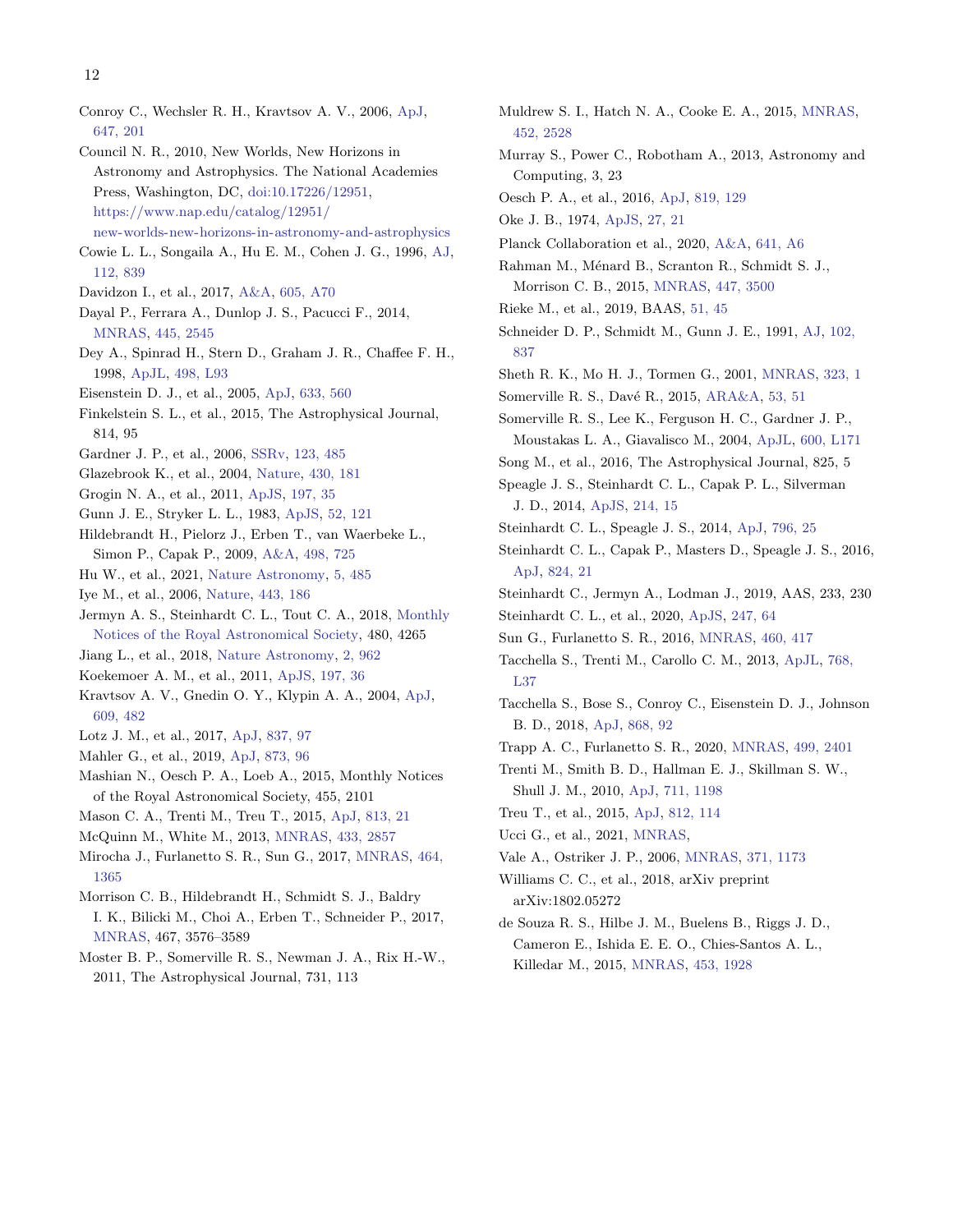- <span id="page-11-49"></span><span id="page-11-43"></span><span id="page-11-38"></span><span id="page-11-37"></span><span id="page-11-29"></span><span id="page-11-28"></span><span id="page-11-23"></span><span id="page-11-7"></span><span id="page-11-5"></span><span id="page-11-4"></span><span id="page-11-1"></span>Conroy C., Wechsler R. H., Kravtsov A. V., 2006, [ApJ,](http://dx.doi.org/10.1086/503602) [647, 201](https://ui.adsabs.harvard.edu/abs/2006ApJ...647..201C) Council N. R., 2010, New Worlds, New Horizons in Astronomy and Astrophysics. The National Academies Press, Washington, DC, [doi:10.17226/12951,](http://dx.doi.org/10.17226/12951) [https://www.nap.edu/catalog/12951/](https://www.nap.edu/catalog/12951/new-worlds-new-horizons-in-astronomy-and-astrophysics) [new-worlds-new-horizons-in-astronomy-and-astrophysics](https://www.nap.edu/catalog/12951/new-worlds-new-horizons-in-astronomy-and-astrophysics) Cowie L. L., Songaila A., Hu E. M., Cohen J. G., 1996, [AJ,](http://dx.doi.org/10.1086/118058) [112, 839](https://ui.adsabs.harvard.edu/abs/1996AJ....112..839C) Davidzon I., et al., 2017, [A&A,](http://dx.doi.org/10.1051/0004-6361/201730419) [605, A70](https://ui.adsabs.harvard.edu/abs/2017A&A...605A..70D) Dayal P., Ferrara A., Dunlop J. S., Pacucci F., 2014, [MNRAS,](http://dx.doi.org/10.1093/mnras/stu1848) [445, 2545](https://ui.adsabs.harvard.edu/abs/2014MNRAS.445.2545D) Dey A., Spinrad H., Stern D., Graham J. R., Chaffee F. H., 1998, [ApJL,](http://dx.doi.org/10.1086/311331) [498, L93](https://ui.adsabs.harvard.edu/abs/1998ApJ...498L..93D) Eisenstein D. J., et al., 2005, [ApJ,](http://dx.doi.org/10.1086/466512) [633, 560](https://ui.adsabs.harvard.edu/abs/2005ApJ...633..560E) Finkelstein S. L., et al., 2015, The Astrophysical Journal, 814, 95 Gardner J. P., et al., 2006, [SSRv,](http://dx.doi.org/10.1007/s11214-006-8315-7) [123, 485](https://ui.adsabs.harvard.edu/abs/2006SSRv..123..485G) Glazebrook K., et al., 2004, [Nature,](http://dx.doi.org/10.1038/nature02667) [430, 181](https://ui.adsabs.harvard.edu/abs/2004Natur.430..181G) Grogin N. A., et al., 2011, [ApJS,](http://dx.doi.org/10.1088/0067-0049/197/2/35) [197, 35](https://ui.adsabs.harvard.edu/abs/2011ApJS..197...35G) Gunn J. E., Stryker L. L., 1983, [ApJS,](http://dx.doi.org/10.1086/190861) [52, 121](https://ui.adsabs.harvard.edu/abs/1983ApJS...52..121G) Hildebrandt H., Pielorz J., Erben T., van Waerbeke L., Simon P., Capak P., 2009, [A&A,](http://dx.doi.org/10.1051/0004-6361/200811042) [498, 725](https://ui.adsabs.harvard.edu/abs/2009A&A...498..725H) Hu W., et al., 2021, [Nature Astronomy,](http://dx.doi.org/10.1038/s41550-020-01291-y) [5, 485](https://ui.adsabs.harvard.edu/abs/2021NatAs...5..485H) Iye M., et al., 2006, [Nature,](http://dx.doi.org/10.1038/nature05104) [443, 186](https://ui.adsabs.harvard.edu/abs/2006Natur.443..186I) Jermyn A. S., Steinhardt C. L., Tout C. A., 2018, [Monthly](http://dx.doi.org/10.1093/mnras/sty2123) [Notices of the Royal Astronomical Society,](http://dx.doi.org/10.1093/mnras/sty2123) 480, 4265 Jiang L., et al., 2018, [Nature Astronomy,](http://dx.doi.org/10.1038/s41550-018-0587-9) [2, 962](https://ui.adsabs.harvard.edu/abs/2018NatAs...2..962J) Koekemoer A. M., et al., 2011, [ApJS,](http://dx.doi.org/10.1088/0067-0049/197/2/36) [197, 36](https://ui.adsabs.harvard.edu/abs/2011ApJS..197...36K) Kravtsov A. V., Gnedin O. Y., Klypin A. A., 2004, [ApJ,](http://dx.doi.org/10.1086/421322) [609, 482](https://ui.adsabs.harvard.edu/abs/2004ApJ...609..482K) Lotz J. M., et al., 2017, [ApJ,](http://dx.doi.org/10.3847/1538-4357/837/1/97) [837, 97](https://ui.adsabs.harvard.edu/abs/2017ApJ...837...97L) Mahler G., et al., 2019, [ApJ,](http://dx.doi.org/10.3847/1538-4357/ab042b) [873, 96](https://ui.adsabs.harvard.edu/abs/2019ApJ...873...96M) Mashian N., Oesch P. A., Loeb A., 2015, Monthly Notices of the Royal Astronomical Society, 455, 2101 Mason C. A., Trenti M., Treu T., 2015, [ApJ,](http://dx.doi.org/10.1088/0004-637X/813/1/21) [813, 21](https://ui.adsabs.harvard.edu/abs/2015ApJ...813...21M) McQuinn M., White M., 2013, [MNRAS,](http://dx.doi.org/10.1093/mnras/stt914) [433, 2857](https://ui.adsabs.harvard.edu/abs/2013MNRAS.433.2857M) Mirocha J., Furlanetto S. R., Sun G., 2017, [MNRAS,](http://dx.doi.org/10.1093/mnras/stw2412) [464,](https://ui.adsabs.harvard.edu/abs/2017MNRAS.464.1365M) [1365](https://ui.adsabs.harvard.edu/abs/2017MNRAS.464.1365M)
- <span id="page-11-53"></span><span id="page-11-51"></span><span id="page-11-50"></span><span id="page-11-46"></span><span id="page-11-44"></span><span id="page-11-39"></span><span id="page-11-35"></span><span id="page-11-20"></span><span id="page-11-19"></span><span id="page-11-18"></span><span id="page-11-14"></span><span id="page-11-13"></span><span id="page-11-9"></span><span id="page-11-8"></span><span id="page-11-6"></span>Morrison C. B., Hildebrandt H., Schmidt S. J., Baldry I. K., Bilicki M., Choi A., Erben T., Schneider P., 2017, [MNRAS,](http://dx.doi.org/10.1093/mnras/stx342) 467, 3576–3589
- <span id="page-11-22"></span>Moster B. P., Somerville R. S., Newman J. A., Rix H.-W., 2011, The Astrophysical Journal, 731, 113
- <span id="page-11-52"></span><span id="page-11-48"></span><span id="page-11-34"></span><span id="page-11-33"></span><span id="page-11-31"></span><span id="page-11-27"></span><span id="page-11-21"></span><span id="page-11-17"></span><span id="page-11-16"></span><span id="page-11-15"></span><span id="page-11-3"></span><span id="page-11-2"></span><span id="page-11-0"></span>Muldrew S. I., Hatch N. A., Cooke E. A., 2015, [MNRAS,](http://dx.doi.org/10.1093/mnras/stv1449) [452, 2528](https://ui.adsabs.harvard.edu/abs/2015MNRAS.452.2528M) Murray S., Power C., Robotham A., 2013, Astronomy and Computing, 3, 23 Oesch P. A., et al., 2016, [ApJ,](http://dx.doi.org/10.3847/0004-637X/819/2/129) [819, 129](https://ui.adsabs.harvard.edu/abs/2016ApJ...819..129O) Oke J. B., 1974, [ApJS,](http://dx.doi.org/10.1086/190287) [27, 21](https://ui.adsabs.harvard.edu/abs/1974ApJS...27...21O) Planck Collaboration et al., 2020, [A&A,](http://dx.doi.org/10.1051/0004-6361/201833910) [641, A6](https://ui.adsabs.harvard.edu/abs/2020A&A...641A...6P) Rahman M., Ménard B., Scranton R., Schmidt S. J., Morrison C. B., 2015, [MNRAS,](http://dx.doi.org/10.1093/mnras/stu2636) [447, 3500](https://ui.adsabs.harvard.edu/abs/2015MNRAS.447.3500R) Rieke M., et al., 2019, BAAS, [51, 45](https://ui.adsabs.harvard.edu/abs/2019BAAS...51c..45R) Schneider D. P., Schmidt M., Gunn J. E., 1991, [AJ,](http://dx.doi.org/10.1086/115914) [102,](https://ui.adsabs.harvard.edu/abs/1991AJ....102..837S) [837](https://ui.adsabs.harvard.edu/abs/1991AJ....102..837S) Sheth R. K., Mo H. J., Tormen G., 2001, [MNRAS,](http://dx.doi.org/10.1046/j.1365-8711.2001.04006.x) [323, 1](https://ui.adsabs.harvard.edu/abs/2001MNRAS.323....1S) Somerville R. S., Davé R., 2015, [ARA&A,](http://dx.doi.org/10.1146/annurev-astro-082812-140951) [53, 51](https://ui.adsabs.harvard.edu/abs/2015ARA&A..53...51S) Somerville R. S., Lee K., Ferguson H. C., Gardner J. P., Moustakas L. A., Giavalisco M., 2004, [ApJL,](http://dx.doi.org/10.1086/378628) [600, L171](https://ui.adsabs.harvard.edu/abs/2004ApJ...600L.171S) Song M., et al., 2016, The Astrophysical Journal, 825, 5 Speagle J. S., Steinhardt C. L., Capak P. L., Silverman J. D., 2014, [ApJS,](http://dx.doi.org/10.1088/0067-0049/214/2/15) [214, 15](https://ui.adsabs.harvard.edu/abs/2014ApJS..214...15S) Steinhardt C. L., Speagle J. S., 2014, [ApJ,](http://dx.doi.org/10.1088/0004-637X/796/1/25) [796, 25](https://ui.adsabs.harvard.edu/abs/2014ApJ...796...25S) Steinhardt C. L., Capak P., Masters D., Speagle J. S., 2016, [ApJ,](http://dx.doi.org/10.3847/0004-637X/824/1/21) [824, 21](https://ui.adsabs.harvard.edu/#abs/2016ApJ...824...21S) Steinhardt C., Jermyn A., Lodman J., 2019, AAS, 233, 230 Steinhardt C. L., et al., 2020, [ApJS,](http://dx.doi.org/10.3847/1538-4365/ab75ed) [247, 64](https://ui.adsabs.harvard.edu/abs/2020ApJS..247...64S) Sun G., Furlanetto S. R., 2016, [MNRAS,](http://dx.doi.org/10.1093/mnras/stw980) [460, 417](https://ui.adsabs.harvard.edu/abs/2016MNRAS.460..417S) Tacchella S., Trenti M., Carollo C. M., 2013, [ApJL,](http://dx.doi.org/10.1088/2041-8205/768/2/L37) [768,](https://ui.adsabs.harvard.edu/abs/2013ApJ...768L..37T) [L37](https://ui.adsabs.harvard.edu/abs/2013ApJ...768L..37T) Tacchella S., Bose S., Conroy C., Eisenstein D. J., Johnson B. D., 2018, [ApJ,](http://dx.doi.org/10.3847/1538-4357/aae8e0) [868, 92](https://ui.adsabs.harvard.edu/abs/2018ApJ...868...92T) Trapp A. C., Furlanetto S. R., 2020, [MNRAS,](http://dx.doi.org/10.1093/mnras/staa2828) [499, 2401](https://ui.adsabs.harvard.edu/abs/2020MNRAS.499.2401T) Trenti M., Smith B. D., Hallman E. J., Skillman S. W., Shull J. M., 2010, [ApJ,](http://dx.doi.org/10.1088/0004-637X/711/2/1198) [711, 1198](https://ui.adsabs.harvard.edu/abs/2010ApJ...711.1198T) Treu T., et al., 2015, [ApJ,](http://dx.doi.org/10.1088/0004-637X/812/2/114) [812, 114](https://ui.adsabs.harvard.edu/abs/2015ApJ...812..114T) Ucci G., et al., 2021, [MNRAS,](http://dx.doi.org/10.1093/mnras/stab1229) Vale A., Ostriker J. P., 2006, [MNRAS,](http://dx.doi.org/10.1111/j.1365-2966.2006.10605.x) [371, 1173](https://ui.adsabs.harvard.edu/abs/2006MNRAS.371.1173V) Williams C. C., et al., 2018, arXiv preprint arXiv:1802.05272 de Souza R. S., Hilbe J. M., Buelens B., Riggs J. D.,
- <span id="page-11-47"></span><span id="page-11-45"></span><span id="page-11-42"></span><span id="page-11-41"></span><span id="page-11-40"></span><span id="page-11-36"></span><span id="page-11-32"></span><span id="page-11-30"></span><span id="page-11-26"></span><span id="page-11-25"></span><span id="page-11-24"></span><span id="page-11-12"></span><span id="page-11-11"></span><span id="page-11-10"></span>Cameron E., Ishida E. E. O., Chies-Santos A. L., Killedar M., 2015, [MNRAS,](http://dx.doi.org/10.1093/mnras/stv1825) [453, 1928](https://ui.adsabs.harvard.edu/abs/2015MNRAS.453.1928D)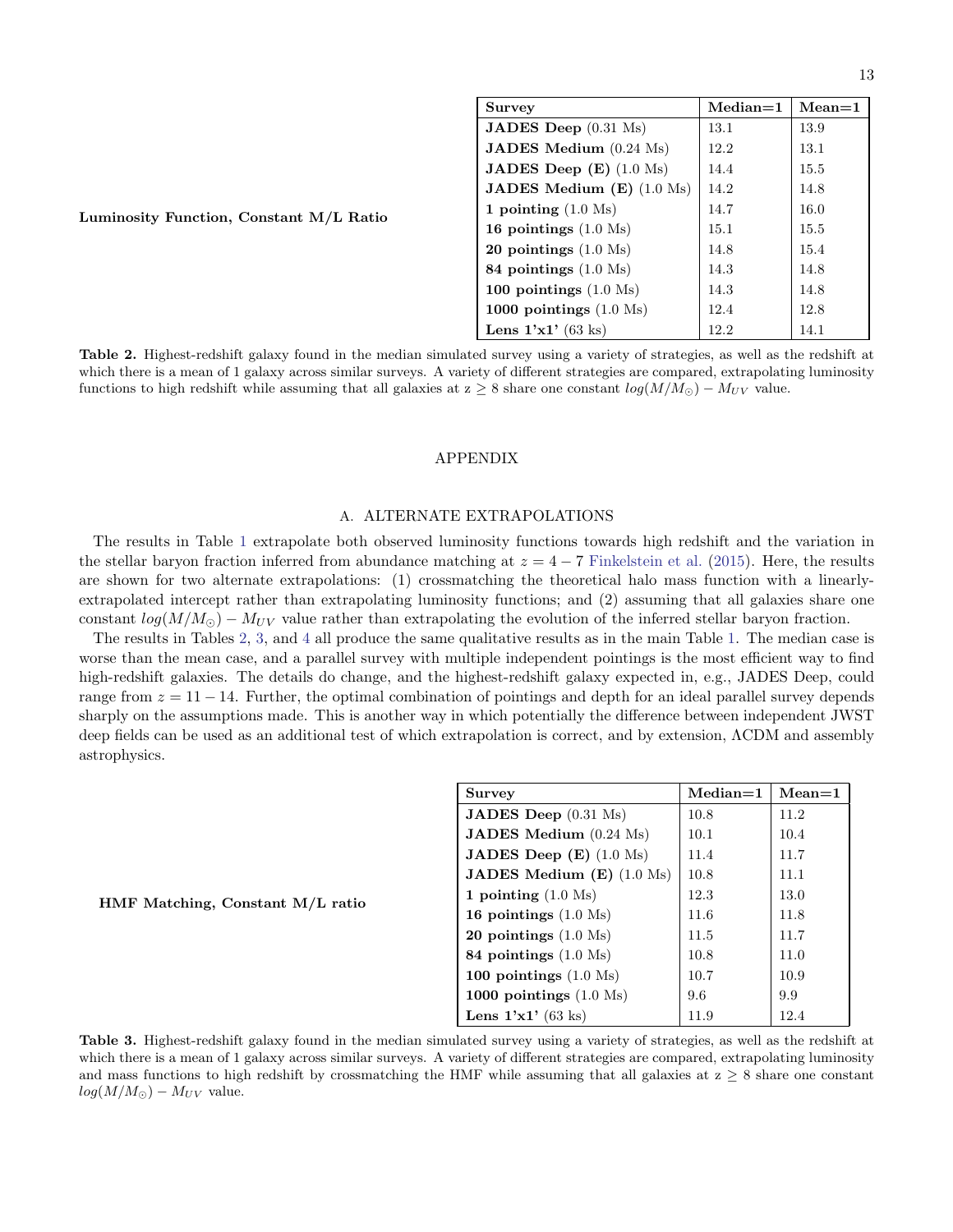|                                         | <b>Survey</b>                              | $Median=1$ | $Mean=1$ |
|-----------------------------------------|--------------------------------------------|------------|----------|
| Luminosity Function, Constant M/L Ratio | <b>JADES</b> Deep $(0.31 \text{ Ms})$      | 13.1       | 13.9     |
|                                         | <b>JADES Medium</b> $(0.24 \text{ Ms})$    | 12.2       | 13.1     |
|                                         | <b>JADES Deep</b> $(E)$ (1.0 Ms)           | 14.4       | 15.5     |
|                                         | <b>JADES Medium (E)</b> $(1.0 \text{ Ms})$ | 14.2       | 14.8     |
|                                         | 1 pointing $(1.0 \text{ Ms})$              | 14.7       | 16.0     |
|                                         | 16 pointings $(1.0 \text{ Ms})$            | 15.1       | 15.5     |
|                                         | 20 pointings $(1.0 \text{ Ms})$            | 14.8       | 15.4     |
|                                         | 84 pointings $(1.0 \text{ Ms})$            | 14.3       | 14.8     |
|                                         | 100 pointings $(1.0 \text{ Ms})$           | 14.3       | 14.8     |
|                                         | 1000 pointings $(1.0 \text{ Ms})$          | 12.4       | 12.8     |
|                                         | Lens $1'x1'$ (63 ks)                       | 12.2       | 14.1     |

<span id="page-12-0"></span>Table 2. Highest-redshift galaxy found in the median simulated survey using a variety of strategies, as well as the redshift at which there is a mean of 1 galaxy across similar surveys. A variety of different strategies are compared, extrapolating luminosity functions to high redshift while assuming that all galaxies at  $z \geq 8$  share one constant  $log(M/M_{\odot}) - M_{UV}$  value.

#### APPENDIX

#### A. ALTERNATE EXTRAPOLATIONS

The results in Table [1](#page-6-1) extrapolate both observed luminosity functions towards high redshift and the variation in the stellar baryon fraction inferred from abundance matching at  $z = 4 - 7$  [Finkelstein et al.](#page-11-38) [\(2015\)](#page-11-38). Here, the results are shown for two alternate extrapolations: (1) crossmatching the theoretical halo mass function with a linearlyextrapolated intercept rather than extrapolating luminosity functions; and (2) assuming that all galaxies share one constant  $log(M/M_{\odot}) - M_{UV}$  value rather than extrapolating the evolution of the inferred stellar baryon fraction.

The results in Tables [2,](#page-12-0) [3,](#page-12-1) and [4](#page-13-2) all produce the same qualitative results as in the main Table [1.](#page-6-1) The median case is worse than the mean case, and a parallel survey with multiple independent pointings is the most efficient way to find high-redshift galaxies. The details do change, and the highest-redshift galaxy expected in, e.g., JADES Deep, could range from  $z = 11 - 14$ . Further, the optimal combination of pointings and depth for an ideal parallel survey depends sharply on the assumptions made. This is another way in which potentially the difference between independent JWST deep fields can be used as an additional test of which extrapolation is correct, and by extension, ΛCDM and assembly astrophysics.

| <b>Survey</b>                           | $Median=1$ | $Mean=1$ |
|-----------------------------------------|------------|----------|
| <b>JADES</b> Deep $(0.31 \text{ Ms})$   | 10.8       | 11.2     |
| <b>JADES</b> Medium $(0.24 \text{ Ms})$ | 10.1       | 10.4     |
| <b>JADES Deep</b> $(E)$ (1.0 Ms)        | 11.4       | 11.7     |
| JADES Medium $(E)$ (1.0 Ms)             | 10.8       | 11.1     |
| 1 pointing $(1.0 \text{ Ms})$           | 12.3       | 13.0     |
| 16 pointings $(1.0 \text{ Ms})$         | 11.6       | 11.8     |
| 20 pointings $(1.0 \text{ Ms})$         | 11.5       | 11.7     |
| 84 pointings (1.0 Ms)                   | 10.8       | 11.0     |
| 100 pointings $(1.0 \text{ Ms})$        | 10.7       | 10.9     |
| 1000 pointings $(1.0 \text{ Ms})$       | 9.6        | 9.9      |
| Lens $1'x1'$ (63 ks)                    | 11.9       | 12.4     |

HMF Matching, Constant M/L ratio

<span id="page-12-1"></span>Table 3. Highest-redshift galaxy found in the median simulated survey using a variety of strategies, as well as the redshift at which there is a mean of 1 galaxy across similar surveys. A variety of different strategies are compared, extrapolating luminosity and mass functions to high redshift by crossmatching the HMF while assuming that all galaxies at  $z \geq 8$  share one constant  $log(M/M_{\odot}) - M_{UV}$  value.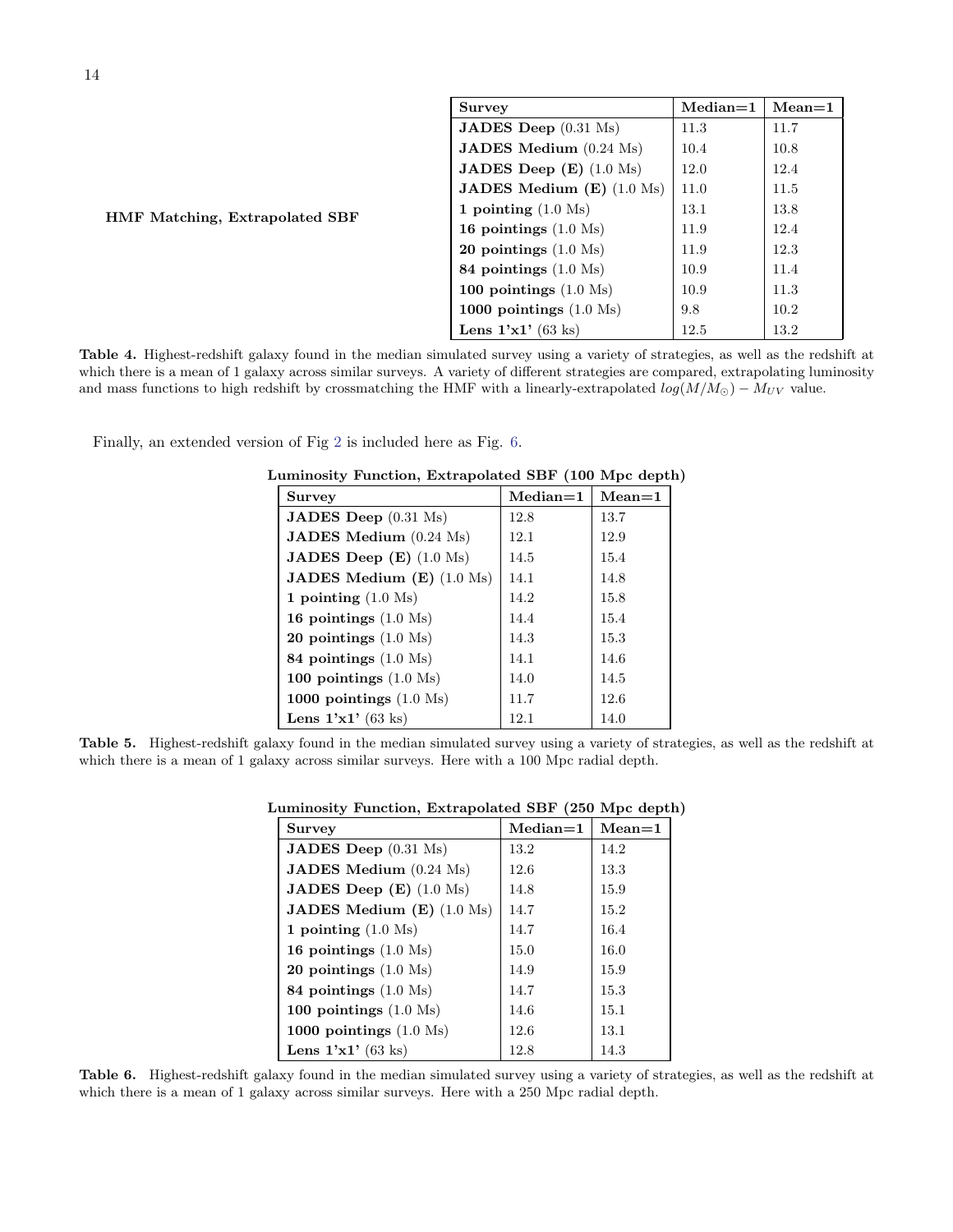|                                | <b>Survey</b>                              | $Median=1$ | $Mean=1$ |
|--------------------------------|--------------------------------------------|------------|----------|
| HMF Matching, Extrapolated SBF | <b>JADES Deep</b> $(0.31 \text{ Ms})$      | 11.3       | 11.7     |
|                                | <b>JADES</b> Medium $(0.24 \text{ Ms})$    | 10.4       | 10.8     |
|                                | <b>JADES Deep (E)</b> $(1.0 \text{ Ms})$   | 12.0       | 12.4     |
|                                | <b>JADES Medium (E)</b> $(1.0 \text{ Ms})$ | 11.0       | 11.5     |
|                                | 1 pointing $(1.0 \text{ Ms})$              | 13.1       | 13.8     |
|                                | 16 pointings $(1.0 \text{ Ms})$            | 11.9       | 12.4     |
|                                | 20 pointings $(1.0 \text{ Ms})$            | 11.9       | 12.3     |
|                                | 84 pointings $(1.0 \text{ Ms})$            | 10.9       | 11.4     |
|                                | 100 pointings $(1.0 \text{ Ms})$           | 10.9       | 11.3     |
|                                | 1000 pointings $(1.0 Ms)$                  | 9.8        | 10.2     |
|                                | <b>Lens</b> $1'x1'$ (63 ks)                | 12.5       | 13.2     |

<span id="page-13-2"></span>Table 4. Highest-redshift galaxy found in the median simulated survey using a variety of strategies, as well as the redshift at which there is a mean of 1 galaxy across similar surveys. A variety of different strategies are compared, extrapolating luminosity and mass functions to high redshift by crossmatching the HMF with a linearly-extrapolated  $log(M/M_{\odot}) - M_{UV}$  value.

Finally, an extended version of Fig [2](#page-3-0) is included here as Fig. [6.](#page-15-0)

| <b>Survey</b>                              | $Median=1$ | $Mean=1$ |
|--------------------------------------------|------------|----------|
| <b>JADES</b> Deep $(0.31 \text{ Ms})$      | 12.8       | 13.7     |
| <b>JADES Medium</b> (0.24 Ms)              | 12.1       | 12.9     |
| <b>JADES Deep (E)</b> $(1.0 \text{ Ms})$   | 14.5       | 15.4     |
| <b>JADES Medium (E)</b> $(1.0 \text{ Ms})$ | 14.1       | 14.8     |
| 1 pointing $(1.0 \text{ Ms})$              | 14.2       | 15.8     |
| 16 pointings $(1.0 \text{ Ms})$            | 14.4       | 15.4     |
| 20 pointings $(1.0 \text{ Ms})$            | 14.3       | 15.3     |
| 84 pointings $(1.0 \text{ Ms})$            | 14.1       | 14.6     |
| 100 pointings $(1.0 \text{ Ms})$           | 14.0       | 14.5     |
| 1000 pointings $(1.0 \text{ Ms})$          | 11.7       | 12.6     |
| Lens $1'x1'$ (63 ks)                       | 12.1       | 14.0     |

### Luminosity Function, Extrapolated SBF (100 Mpc depth)

<span id="page-13-0"></span>Table 5. Highest-redshift galaxy found in the median simulated survey using a variety of strategies, as well as the redshift at which there is a mean of 1 galaxy across similar surveys. Here with a 100 Mpc radial depth.

| <b>Survey</b>                            | $Median=1$ | $Mean=1$ |
|------------------------------------------|------------|----------|
| <b>JADES</b> Deep $(0.31 \text{ Ms})$    | 13.2       | 14.2     |
| <b>JADES Medium</b> $(0.24 \text{ Ms})$  | 12.6       | 13.3     |
| <b>JADES Deep (E)</b> $(1.0 \text{ Ms})$ | 14.8       | 15.9     |
| JADES Medium $(E)$ (1.0 Ms)              | 14.7       | 15.2     |
| 1 pointing $(1.0 \text{ Ms})$            | 14.7       | 16.4     |
| 16 pointings $(1.0 \text{ Ms})$          | 15.0       | 16.0     |
| 20 pointings $(1.0 \text{ Ms})$          | 14.9       | 15.9     |
| 84 pointings $(1.0 \text{ Ms})$          | 14.7       | 15.3     |
| 100 pointings $(1.0 \text{ Ms})$         | 14.6       | 15.1     |
| 1000 pointings $(1.0 \text{ Ms})$        | 12.6       | 13.1     |
| Lens $1'x1'$ (63 ks)                     | 12.8       | 14.3     |

#### Luminosity Function, Extrapolated SBF (250 Mpc depth)

<span id="page-13-1"></span>Table 6. Highest-redshift galaxy found in the median simulated survey using a variety of strategies, as well as the redshift at which there is a mean of 1 galaxy across similar surveys. Here with a 250 Mpc radial depth.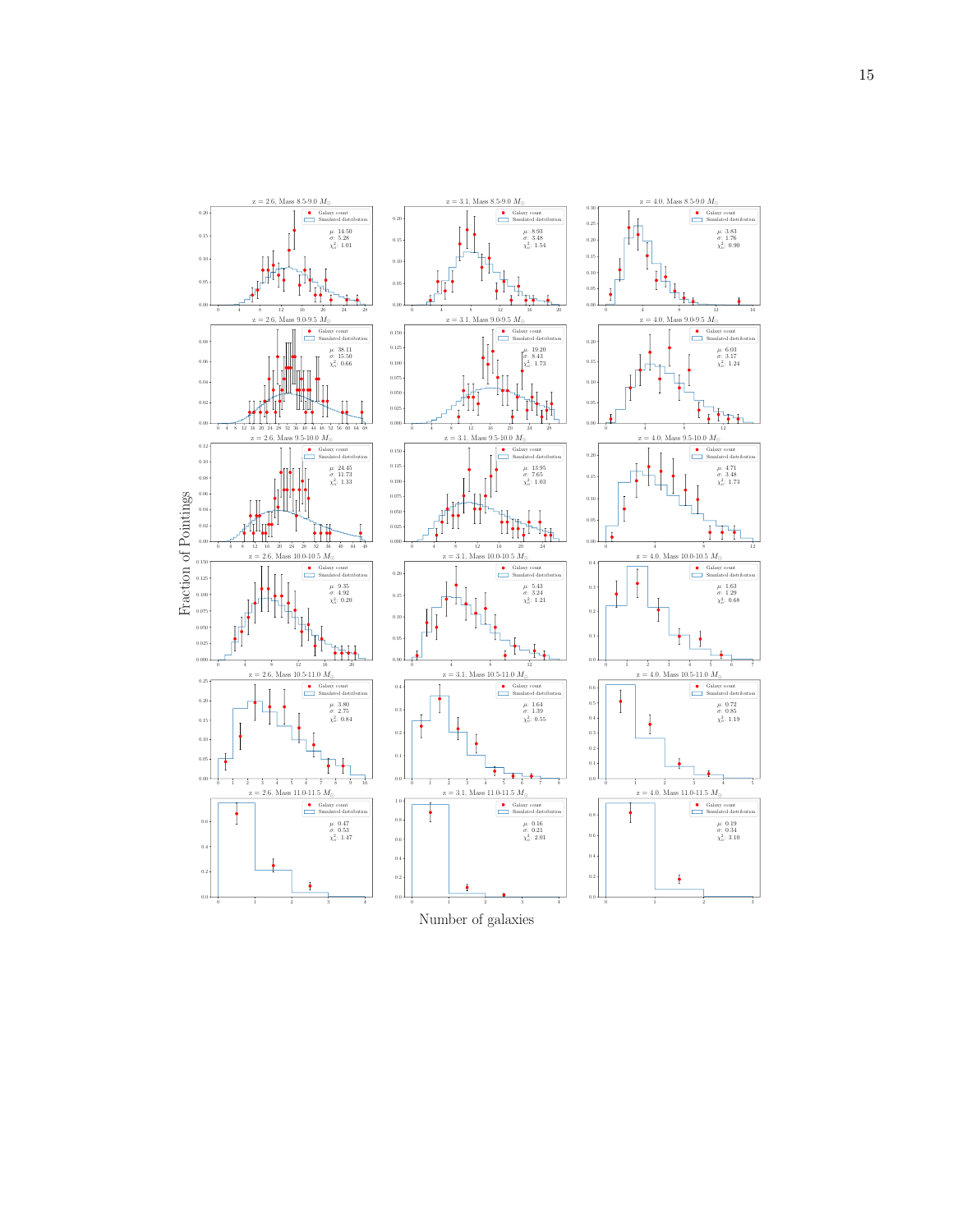